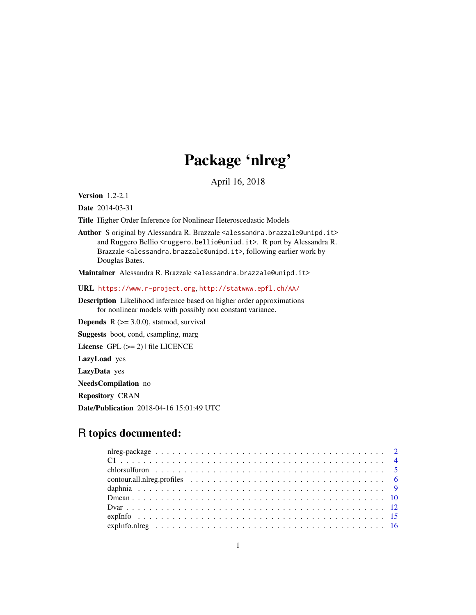# Package 'nlreg'

April 16, 2018

<span id="page-0-0"></span>Version 1.2-2.1

Date 2014-03-31

Title Higher Order Inference for Nonlinear Heteroscedastic Models

Author S original by Alessandra R. Brazzale <alessandra.brazzale@unipd.it> and Ruggero Bellio <ruggero.bellio@uniud.it>. R port by Alessandra R. Brazzale <alessandra.brazzale@unipd.it>, following earlier work by Douglas Bates.

Maintainer Alessandra R. Brazzale <alessandra.brazzale@unipd.it>

URL <https://www.r-project.org>, <http://statwww.epfl.ch/AA/>

Description Likelihood inference based on higher order approximations for nonlinear models with possibly non constant variance.

**Depends**  $R$  ( $>= 3.0.0$ ), statmod, survival

Suggests boot, cond, csampling, marg

License GPL  $(>= 2)$  | file LICENCE

LazyLoad yes

LazyData yes

NeedsCompilation no

Repository CRAN

Date/Publication 2018-04-16 15:01:49 UTC

# R topics documented: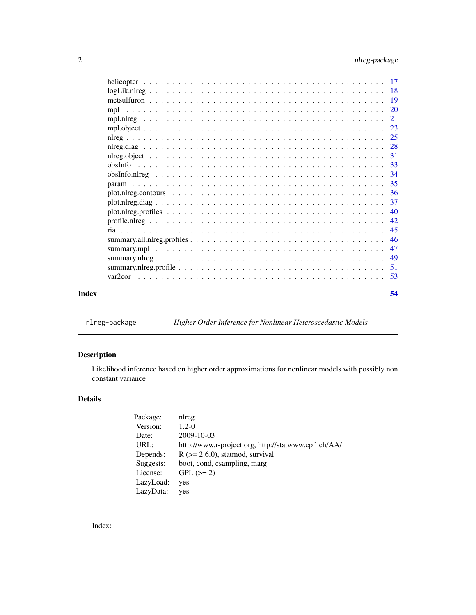<span id="page-1-0"></span>

|       | $plot.nlreg. contours \dots \dots \dots \dots \dots \dots \dots \dots \dots \dots \dots \dots \dots \dots \dots \dots \dots$ |    |
|-------|------------------------------------------------------------------------------------------------------------------------------|----|
|       |                                                                                                                              |    |
|       |                                                                                                                              |    |
|       |                                                                                                                              |    |
|       |                                                                                                                              |    |
|       |                                                                                                                              |    |
|       |                                                                                                                              |    |
|       |                                                                                                                              |    |
|       |                                                                                                                              |    |
|       |                                                                                                                              |    |
| Index |                                                                                                                              | 54 |
|       |                                                                                                                              |    |

nlreg-package *Higher Order Inference for Nonlinear Heteroscedastic Models*

# Description

Likelihood inference based on higher order approximations for nonlinear models with possibly non constant variance

# Details

| Package:  | nlreg                                                |
|-----------|------------------------------------------------------|
| Version:  | $1.2 - 0$                                            |
| Date:     | 2009-10-03                                           |
| URL:      | http://www.r-project.org, http://statwww.epfl.ch/AA/ |
| Depends:  | $R$ ( $>= 2.6.0$ ), statmod, survival                |
| Suggests: | boot, cond, csampling, marg                          |
| License:  | $GPL (=2)$                                           |
| LazyLoad: | yes                                                  |
| LazyData: | yes                                                  |
|           |                                                      |

Index: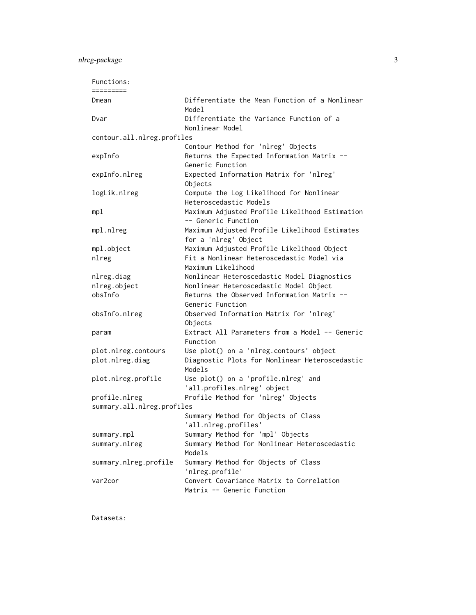# nlreg-package 3

| Dmean                      | Differentiate the Mean Function of a Nonlinear            |
|----------------------------|-----------------------------------------------------------|
|                            | Model                                                     |
| Dvar                       | Differentiate the Variance Function of a                  |
|                            | Nonlinear Model                                           |
| contour.all.nlreg.profiles |                                                           |
|                            | Contour Method for 'nlreg' Objects                        |
| expInfo                    | Returns the Expected Information Matrix --                |
|                            | Generic Function                                          |
| expInfo.nlreg              | Expected Information Matrix for 'nlreg'                   |
|                            | Objects                                                   |
| logLik.nlreg               | Compute the Log Likelihood for Nonlinear                  |
|                            | Heteroscedastic Models                                    |
| mp1                        | Maximum Adjusted Profile Likelihood Estimation            |
|                            | -- Generic Function                                       |
| mpl.nlreg                  | Maximum Adjusted Profile Likelihood Estimates             |
|                            | for a 'nlreg' Object                                      |
| mpl.object                 | Maximum Adjusted Profile Likelihood Object                |
| nlreg                      | Fit a Nonlinear Heteroscedastic Model via                 |
|                            | Maximum Likelihood                                        |
| nlreg.diag                 | Nonlinear Heteroscedastic Model Diagnostics               |
| nlreg.object               | Nonlinear Heteroscedastic Model Object                    |
| obsInfo                    | Returns the Observed Information Matrix --                |
|                            | Generic Function                                          |
| obsInfo.nlreg              | Observed Information Matrix for 'nlreg'                   |
|                            | Objects<br>Extract All Parameters from a Model -- Generic |
| param                      | Function                                                  |
| plot.nlreg.contours        | Use plot() on a 'nlreg.contours' object                   |
| plot.nlreg.diag            | Diagnostic Plots for Nonlinear Heteroscedastic            |
|                            | Models                                                    |
| plot.nlreg.profile         | Use plot() on a 'profile.nlreg' and                       |
|                            | 'all.profiles.nlreg' object                               |
| profile.nlreg              | Profile Method for 'nlreg' Objects                        |
| summary.all.nlreg.profiles |                                                           |
|                            | Summary Method for Objects of Class                       |
|                            | 'all.nlreg.profiles'                                      |
| summary.mpl                | Summary Method for 'mpl' Objects                          |
| summary.nlreg              | Summary Method for Nonlinear Heteroscedastic              |
|                            | Models                                                    |
| summary.nlreg.profile      | Summary Method for Objects of Class                       |
|                            | 'nlreg.profile'                                           |
| var2cor                    | Convert Covariance Matrix to Correlation                  |
|                            | Matrix -- Generic Function                                |

Datasets: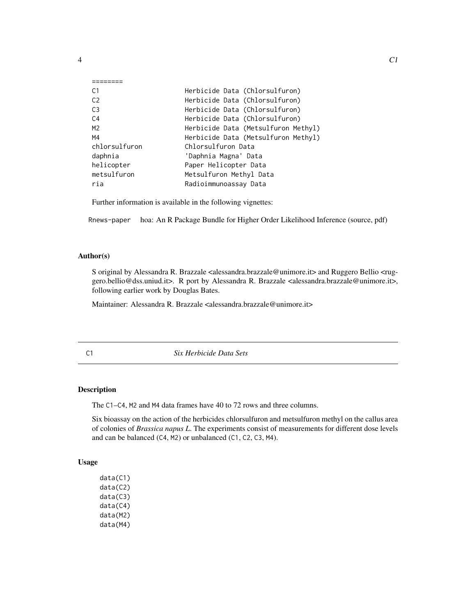<span id="page-3-0"></span>

| ~ |
|---|

| Herbicide Data (Chlorsulfuron)      |
|-------------------------------------|
| Herbicide Data (Chlorsulfuron)      |
| Herbicide Data (Chlorsulfuron)      |
| Herbicide Data (Chlorsulfuron)      |
| Herbicide Data (Metsulfuron Methyl) |
| Herbicide Data (Metsulfuron Methyl) |
| Chlorsulfuron Data                  |
| 'Daphnia Magna' Data                |
| Paper Helicopter Data               |
| Metsulfuron Methyl Data             |
| Radioimmunoassay Data               |
|                                     |

Further information is available in the following vignettes:

Rnews-paper hoa: An R Package Bundle for Higher Order Likelihood Inference (source, pdf)

## Author(s)

S original by Alessandra R. Brazzale <alessandra.brazzale@unimore.it> and Ruggero Bellio <ruggero.bellio@dss.uniud.it>. R port by Alessandra R. Brazzale <alessandra.brazzale@unimore.it>, following earlier work by Douglas Bates.

Maintainer: Alessandra R. Brazzale <alessandra.brazzale@unimore.it>

C1 *Six Herbicide Data Sets*

# Description

The C1–C4, M2 and M4 data frames have 40 to 72 rows and three columns.

Six bioassay on the action of the herbicides chlorsulfuron and metsulfuron methyl on the callus area of colonies of *Brassica napus L*. The experiments consist of measurements for different dose levels and can be balanced (C4, M2) or unbalanced (C1, C2, C3, M4).

# Usage

data(C1) data(C2) data(C3) data(C4) data(M2) data(M4)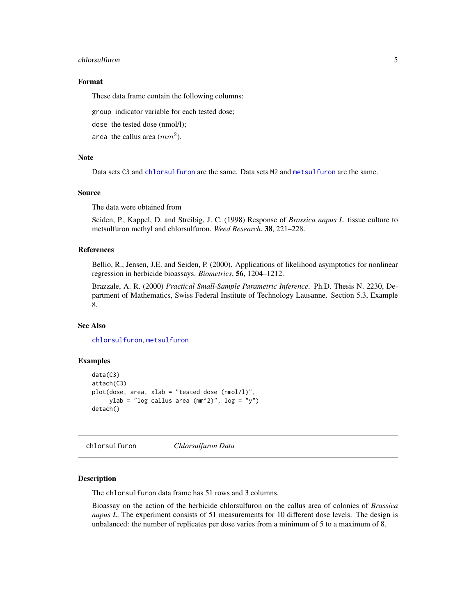#### <span id="page-4-0"></span>chlorsulfuron 5

#### Format

These data frame contain the following columns:

group indicator variable for each tested dose;

dose the tested dose (nmol/l);

area the callus area  $(mm^2)$ .

#### Note

Data sets C3 and [chlorsulfuron](#page-4-1) are the same. Data sets M2 and [metsulfuron](#page-18-1) are the same.

#### Source

The data were obtained from

Seiden, P., Kappel, D. and Streibig, J. C. (1998) Response of *Brassica napus L.* tissue culture to metsulfuron methyl and chlorsulfuron. *Weed Research*, 38, 221–228.

#### References

Bellio, R., Jensen, J.E. and Seiden, P. (2000). Applications of likelihood asymptotics for nonlinear regression in herbicide bioassays. *Biometrics*, 56, 1204–1212.

Brazzale, A. R. (2000) *Practical Small-Sample Parametric Inference*. Ph.D. Thesis N. 2230, Department of Mathematics, Swiss Federal Institute of Technology Lausanne. Section 5.3, Example 8.

#### See Also

[chlorsulfuron](#page-4-1), [metsulfuron](#page-18-1)

# Examples

```
data(C3)
attach(C3)
plot(dose, area, xlab = "tested dose (nmol/l)",
    ylab = "log callus area (mm^2)", log = "y")
detach()
```
<span id="page-4-1"></span>chlorsulfuron *Chlorsulfuron Data*

# **Description**

The chlorsulfuron data frame has 51 rows and 3 columns.

Bioassay on the action of the herbicide chlorsulfuron on the callus area of colonies of *Brassica napus L*. The experiment consists of 51 measurements for 10 different dose levels. The design is unbalanced: the number of replicates per dose varies from a minimum of 5 to a maximum of 8.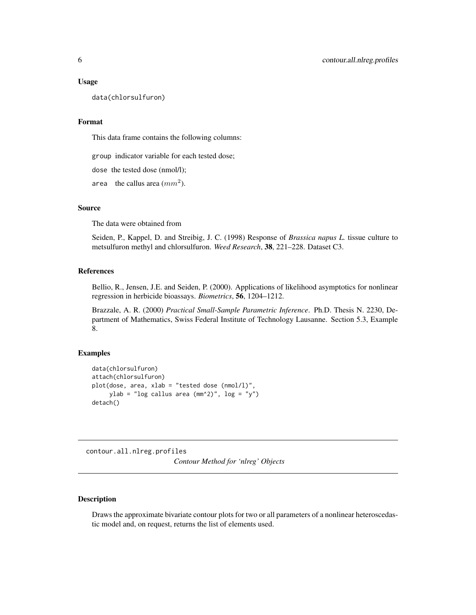#### <span id="page-5-0"></span>Usage

data(chlorsulfuron)

#### Format

This data frame contains the following columns:

group indicator variable for each tested dose;

dose the tested dose (nmol/l);

area the callus area  $(mm^2)$ .

## Source

The data were obtained from

Seiden, P., Kappel, D. and Streibig, J. C. (1998) Response of *Brassica napus L.* tissue culture to metsulfuron methyl and chlorsulfuron. *Weed Research*, 38, 221–228. Dataset C3.

# References

Bellio, R., Jensen, J.E. and Seiden, P. (2000). Applications of likelihood asymptotics for nonlinear regression in herbicide bioassays. *Biometrics*, 56, 1204–1212.

Brazzale, A. R. (2000) *Practical Small-Sample Parametric Inference*. Ph.D. Thesis N. 2230, Department of Mathematics, Swiss Federal Institute of Technology Lausanne. Section 5.3, Example 8.

#### Examples

```
data(chlorsulfuron)
attach(chlorsulfuron)
plot(dose, area, xlab = "tested dose (nmol/l)",
     ylab = "log callus area (\text{mm}^2)", log = "y")
detach()
```
<span id="page-5-1"></span>contour.all.nlreg.profiles *Contour Method for 'nlreg' Objects*

# Description

Draws the approximate bivariate contour plots for two or all parameters of a nonlinear heteroscedastic model and, on request, returns the list of elements used.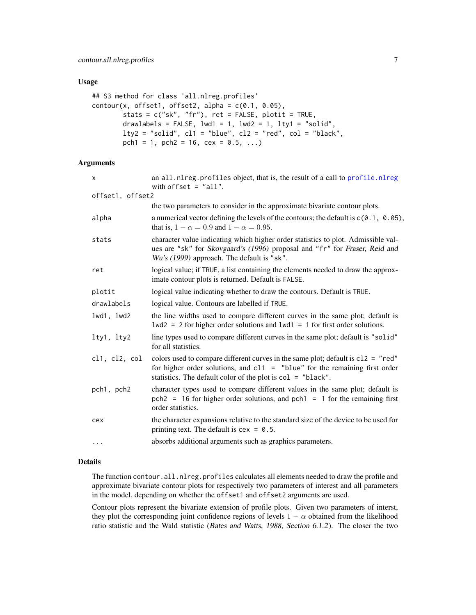#### <span id="page-6-0"></span>Usage

```
## S3 method for class 'all.nlreg.profiles'
contour(x, offset1, offset2, alpha = c(0.1, 0.05),stats = c("sk", "fr"), ret = FALSE, plotit = TRUE,drawlabels = FALSE, 1wd1 = 1, 1wd2 = 1, 1ty1 = "solid",lty2 = "solid", c11 = "blue", c12 = "red", col = "black",pch1 = 1, pch2 = 16, cex = 0.5, ...)
```
# Arguments

| X.               | an all.nlreg.profiles object, that is, the result of a call to profile.nlreg<br>with offset $=$ "all".                                                                                                                            |
|------------------|-----------------------------------------------------------------------------------------------------------------------------------------------------------------------------------------------------------------------------------|
| offset1, offset2 |                                                                                                                                                                                                                                   |
|                  | the two parameters to consider in the approximate bivariate contour plots.                                                                                                                                                        |
| alpha            | a numerical vector defining the levels of the contours; the default is $c(0.1, 0.05)$ ,<br>that is, $1 - \alpha = 0.9$ and $1 - \alpha = 0.95$ .                                                                                  |
| stats            | character value indicating which higher order statistics to plot. Admissible val-<br>ues are "sk" for Skovgaard's (1996) proposal and "fr" for Fraser, Reid and<br>Wu's (1999) approach. The default is "sk".                     |
| ret              | logical value; if TRUE, a list containing the elements needed to draw the approx-<br>imate contour plots is returned. Default is FALSE.                                                                                           |
| plotit           | logical value indicating whether to draw the contours. Default is TRUE.                                                                                                                                                           |
| drawlabels       | logical value. Contours are labelled if TRUE.                                                                                                                                                                                     |
| lwd1, lwd2       | the line widths used to compare different curves in the same plot; default is<br>$1wd2 = 2$ for higher order solutions and $1wd1 = 1$ for first order solutions.                                                                  |
| lty1, lty2       | line types used to compare different curves in the same plot; default is "solid"<br>for all statistics.                                                                                                                           |
| cl1, cl2, col    | colors used to compare different curves in the same plot; default is $c12 = "red"$<br>for higher order solutions, and $c11 =$ "blue" for the remaining first order<br>statistics. The default color of the plot is col = "black". |
| pch1, pch2       | character types used to compare different values in the same plot; default is<br>$pch2 = 16$ for higher order solutions, and $pch1 = 1$ for the remaining first<br>order statistics.                                              |
| cex              | the character expansions relative to the standard size of the device to be used for<br>printing text. The default is $cex = 0.5$ .                                                                                                |
| .                | absorbs additional arguments such as graphics parameters.                                                                                                                                                                         |

# Details

The function contour.all.nlreg.profiles calculates all elements needed to draw the profile and approximate bivariate contour plots for respectively two parameters of interest and all parameters in the model, depending on whether the offset1 and offset2 arguments are used.

Contour plots represent the bivariate extension of profile plots. Given two parameters of interst, they plot the corresponding joint confidence regions of levels  $1 - \alpha$  obtained from the likelihood ratio statistic and the Wald statistic (Bates and Watts, 1988, Section 6.1.2). The closer the two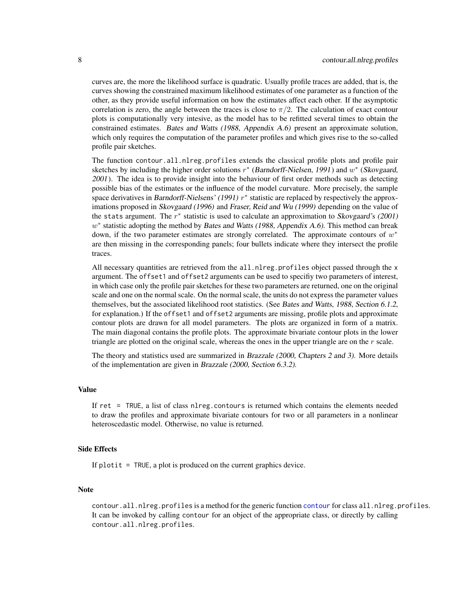<span id="page-7-0"></span>curves are, the more the likelihood surface is quadratic. Usually profile traces are added, that is, the curves showing the constrained maximum likelihood estimates of one parameter as a function of the other, as they provide useful information on how the estimates affect each other. If the asymptotic correlation is zero, the angle between the traces is close to  $\pi/2$ . The calculation of exact contour plots is computationally very intesive, as the model has to be refitted several times to obtain the constrained estimates. Bates and Watts (1988, Appendix A.6) present an approximate solution, which only requires the computation of the parameter profiles and which gives rise to the so-called profile pair sketches.

The function contour.all.nlreg.profiles extends the classical profile plots and profile pair sketches by including the higher order solutions  $r^*$  (Barndorff-Nielsen, 1991) and  $w^*$  (Skovgaard, 2001). The idea is to provide insight into the behaviour of first order methods such as detecting possible bias of the estimates or the influence of the model curvature. More precisely, the sample space derivatives in Barndorff-Nielsens' (1991)  $r^*$  statistic are replaced by respectively the approximations proposed in Skovgaard (1996) and Fraser, Reid and Wu (1999) depending on the value of the stats argument. The  $r^*$  statistic is used to calculate an approximation to Skovgaard's (2001)  $w^*$  statistic adopting the method by Bates and Watts (1988, Appendix A.6). This method can break down, if the two parameter estimates are strongly correlated. The approximate contours of  $w^*$ are then missing in the corresponding panels; four bullets indicate where they intersect the profile traces.

All necessary quantities are retrieved from the all.nlreg.profiles object passed through the x argument. The offset1 and offset2 arguments can be used to specifiy two parameters of interest, in which case only the profile pair sketches for these two parameters are returned, one on the original scale and one on the normal scale. On the normal scale, the units do not express the parameter values themselves, but the associated likelihood root statistics. (See Bates and Watts, 1988, Section 6.1.2, for explanation.) If the offset1 and offset2 arguments are missing, profile plots and approximate contour plots are drawn for all model parameters. The plots are organized in form of a matrix. The main diagonal contains the profile plots. The approximate bivariate contour plots in the lower triangle are plotted on the original scale, whereas the ones in the upper triangle are on the  $r$  scale.

The theory and statistics used are summarized in Brazzale (2000, Chapters 2 and 3). More details of the implementation are given in Brazzale (2000, Section 6.3.2).

#### Value

If ret = TRUE, a list of class nlreg.contours is returned which contains the elements needed to draw the profiles and approximate bivariate contours for two or all parameters in a nonlinear heteroscedastic model. Otherwise, no value is returned.

#### Side Effects

If  $plotit = TRUE$ , a plot is produced on the current graphics device.

#### Note

contour.all.nlreg.profiles is a method for the generic function [contour](#page-0-0) for class all.nlreg.profiles. It can be invoked by calling contour for an object of the appropriate class, or directly by calling contour.all.nlreg.profiles.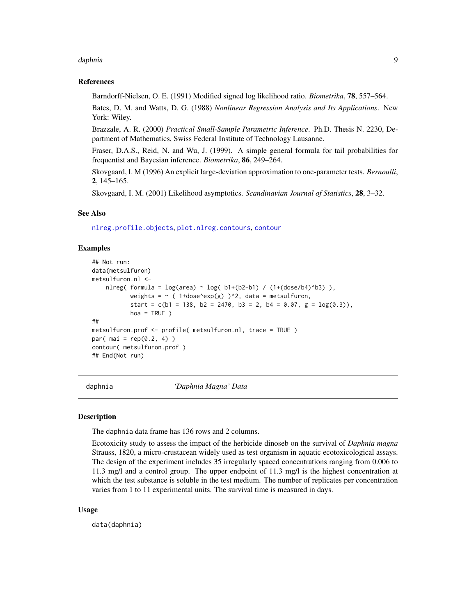#### <span id="page-8-0"></span>daphnia ann an Santa ann an Santa ann an Santa ann an Santa ann an Santa ann an Santa ann an Santa ann an Santa

#### References

Barndorff-Nielsen, O. E. (1991) Modified signed log likelihood ratio. *Biometrika*, 78, 557–564.

Bates, D. M. and Watts, D. G. (1988) *Nonlinear Regression Analysis and Its Applications*. New York: Wiley.

Brazzale, A. R. (2000) *Practical Small-Sample Parametric Inference*. Ph.D. Thesis N. 2230, Department of Mathematics, Swiss Federal Institute of Technology Lausanne.

Fraser, D.A.S., Reid, N. and Wu, J. (1999). A simple general formula for tail probabilities for frequentist and Bayesian inference. *Biometrika*, 86, 249–264.

Skovgaard, I. M (1996) An explicit large-deviation approximation to one-parameter tests. *Bernoulli*, 2, 145–165.

Skovgaard, I. M. (2001) Likelihood asymptotics. *Scandinavian Journal of Statistics*, 28, 3–32.

#### See Also

[nlreg.profile.objects](#page-0-0), [plot.nlreg.contours](#page-35-1), [contour](#page-0-0)

# Examples

```
## Not run:
data(metsulfuron)
metsulfuron.nl <-
   nlreg( formula = log(area) \sim log( b1+(b2-b1) / (1+(dose/b4)^b3) ),
           weights = \sim ( 1+dose^exp(g) )^2, data = metsulfuron,
           start = c(b1 = 138, b2 = 2470, b3 = 2, b4 = 0.07, g = log(0.3)),hoa = TRUE)
##
metsulfuron.prof <- profile( metsulfuron.nl, trace = TRUE )
par( mai = rep(0.2, 4))
contour( metsulfuron.prof )
## End(Not run)
```
daphnia *'Daphnia Magna' Data*

#### Description

The daphnia data frame has 136 rows and 2 columns.

Ecotoxicity study to assess the impact of the herbicide dinoseb on the survival of *Daphnia magna* Strauss, 1820, a micro-crustacean widely used as test organism in aquatic ecotoxicological assays. The design of the experiment includes 35 irregularly spaced concentrations ranging from 0.006 to 11.3 mg/l and a control group. The upper endpoint of 11.3 mg/l is the highest concentration at which the test substance is soluble in the test medium. The number of replicates per concentration varies from 1 to 11 experimental units. The survival time is measured in days.

#### Usage

data(daphnia)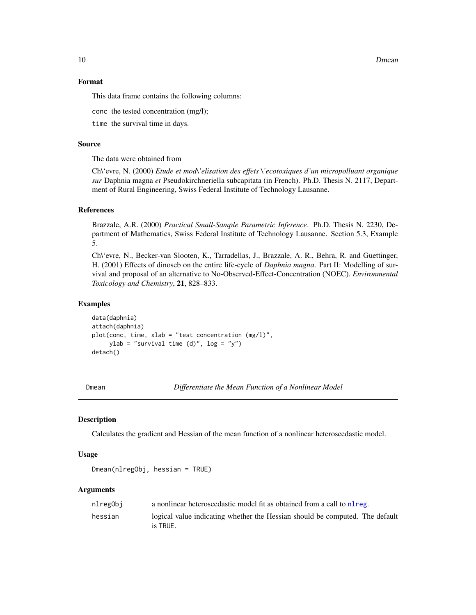10 Dmean Dmean Dmean Dmean Dmean Dmean Dmean Dmean Dmean Dmean Dmean Dmean Dmean Dmean Dmean Dmean Dmean Dmean

#### Format

This data frame contains the following columns:

conc the tested concentration (mg/l);

time the survival time in days.

# Source

The data were obtained from

Ch\'evre, N. (2000) *Etude et mod\'elisation des effets \'ecotoxiques d'un micropolluant organique sur* Daphnia magna *et* Pseudokirchneriella subcapitata (in French). Ph.D. Thesis N. 2117, Department of Rural Engineering, Swiss Federal Institute of Technology Lausanne.

# References

Brazzale, A.R. (2000) *Practical Small-Sample Parametric Inference*. Ph.D. Thesis N. 2230, Department of Mathematics, Swiss Federal Institute of Technology Lausanne. Section 5.3, Example 5.

Ch\'evre, N., Becker-van Slooten, K., Tarradellas, J., Brazzale, A. R., Behra, R. and Guettinger, H. (2001) Effects of dinoseb on the entire life-cycle of *Daphnia magna*. Part II: Modelling of survival and proposal of an alternative to No-Observed-Effect-Concentration (NOEC). *Environmental Toxicology and Chemistry*, 21, 828–833.

# Examples

```
data(daphnia)
attach(daphnia)
plot(conc, time, xlab = "test concentration (mg/l)",
     ylab = "survival time (d)", log = "y")
detach()
```
<span id="page-9-1"></span>

Dmean *Differentiate the Mean Function of a Nonlinear Model*

#### Description

Calculates the gradient and Hessian of the mean function of a nonlinear heteroscedastic model.

#### Usage

Dmean(nlregObj, hessian = TRUE)

#### Arguments

| nlregObj | a nonlinear heteroscedastic model fit as obtained from a call to nl reg.                 |
|----------|------------------------------------------------------------------------------------------|
| hessian  | logical value indicating whether the Hessian should be computed. The default<br>is TRUE. |

<span id="page-9-0"></span>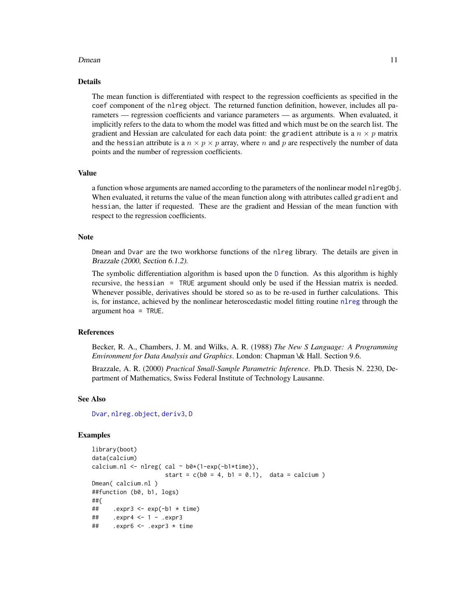#### <span id="page-10-0"></span>Dmean 11

# Details

The mean function is differentiated with respect to the regression coefficients as specified in the coef component of the nlreg object. The returned function definition, however, includes all parameters — regression coefficients and variance parameters — as arguments. When evaluated, it implicitly refers to the data to whom the model was fitted and which must be on the search list. The gradient and Hessian are calculated for each data point: the gradient attribute is a  $n \times p$  matrix and the hessian attribute is a  $n \times p \times p$  array, where n and p are respectively the number of data points and the number of regression coefficients.

#### Value

a function whose arguments are named according to the parameters of the nonlinear model nlreg0bj. When evaluated, it returns the value of the mean function along with attributes called gradient and hessian, the latter if requested. These are the gradient and Hessian of the mean function with respect to the regression coefficients.

#### Note

Dmean and Dvar are the two workhorse functions of the nlreg library. The details are given in Brazzale (2000, Section 6.1.2).

The symbolic differentiation algorithm is based upon the  $D$  function. As this algorithm is highly recursive, the hessian = TRUE argument should only be used if the Hessian matrix is needed. Whenever possible, derivatives should be stored so as to be re-used in further calculations. This is, for instance, achieved by the nonlinear heteroscedastic model fitting routine [nlreg](#page-24-1) through the argument hoa = TRUE.

# References

Becker, R. A., Chambers, J. M. and Wilks, A. R. (1988) *The New S Language: A Programming Environment for Data Analysis and Graphics*. London: Chapman \& Hall. Section 9.6.

Brazzale, A. R. (2000) *Practical Small-Sample Parametric Inference*. Ph.D. Thesis N. 2230, Department of Mathematics, Swiss Federal Institute of Technology Lausanne.

#### See Also

[Dvar](#page-11-1), [nlreg.object](#page-30-1), [deriv3](#page-0-0), [D](#page-0-0)

#### Examples

```
library(boot)
data(calcium)
calcium.nl <- nlreg( cal \sim b0*(1-exp(-b1*time)),
                    start = c(b0 = 4, b1 = 0.1), data = calcium)
Dmean( calcium.nl )
##function (b0, b1, logs)
##{
## .expr3 <- exp(-b1 * time)
## .expr4 <- 1 - .expr3
## .expr6 <- .expr3 * time
```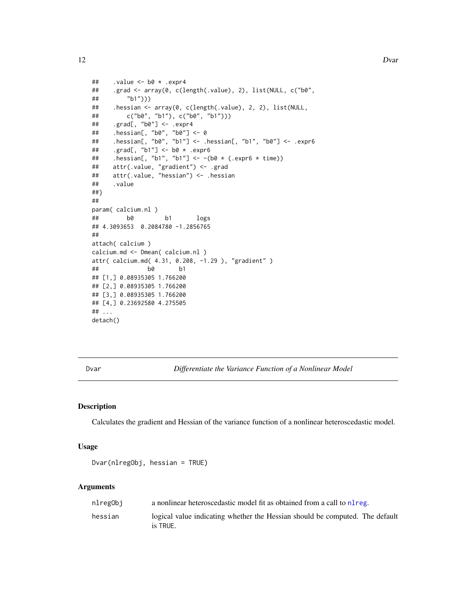```
## .value <- b0 * .expr4
## .grad <- array(0, c(length(.value), 2), list(NULL, c("b0",
## "b1")))
## .hessian <- array(0, c(length(.value), 2, 2), list(NULL,
## c("b0", "b1"), c("b0", "b1")))
## .grad[, "b0"] <- .expr4
## .hessian[, "b0", "b0"] <- 0
## .hessian[, "b0", "b1"] <- .hessian[, "b1", "b0"] <- .expr6
## .grad[, "b1"] <- b0 * .expr6
## .hessian[, "b1", "b1"] <- -(b0 * (.expr6 * time))
## attr(.value, "gradient") <- .grad
## attr(.value, "hessian") <- .hessian
## .value
##}
##
param( calcium.nl )
## b0 b1 logs
## 4.3093653 0.2084780 -1.2856765
##
attach( calcium )
calcium.md <- Dmean( calcium.nl )
attr( calcium.md( 4.31, 0.208, -1.29 ), "gradient" )
## b0 b1
## [1,] 0.08935305 1.766200
## [2,] 0.08935305 1.766200
## [3,] 0.08935305 1.766200
## [4,] 0.23692580 4.275505
## ...
detach()
```
<span id="page-11-1"></span>

Dvar *Differentiate the Variance Function of a Nonlinear Model*

# Description

Calculates the gradient and Hessian of the variance function of a nonlinear heteroscedastic model.

#### Usage

```
Dvar(nlregObj, hessian = TRUE)
```
# Arguments

| nlregObj | a nonlinear heteroscedastic model fit as obtained from a call to nl reg.                 |
|----------|------------------------------------------------------------------------------------------|
| hessian  | logical value indicating whether the Hessian should be computed. The default<br>is TRUE. |

<span id="page-11-0"></span>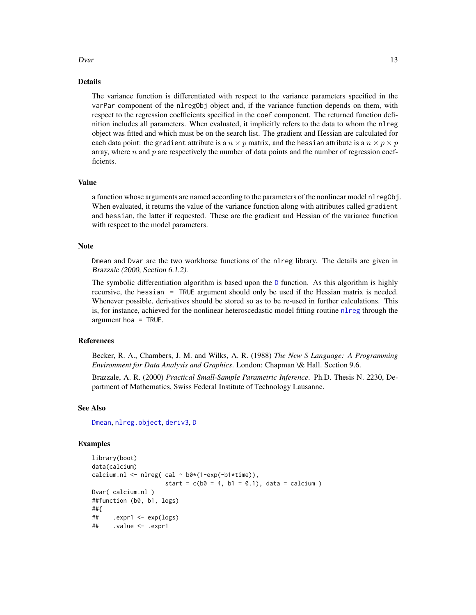#### <span id="page-12-0"></span> $Dvar$  13

# Details

The variance function is differentiated with respect to the variance parameters specified in the varPar component of the nlregObj object and, if the variance function depends on them, with respect to the regression coefficients specified in the coef component. The returned function definition includes all parameters. When evaluated, it implicitly refers to the data to whom the nlreg object was fitted and which must be on the search list. The gradient and Hessian are calculated for each data point: the gradient attribute is a  $n \times p$  matrix, and the hessian attribute is a  $n \times p \times p$ array, where n and p are respectively the number of data points and the number of regression coefficients.

#### Value

a function whose arguments are named according to the parameters of the nonlinear model nlregObj. When evaluated, it returns the value of the variance function along with attributes called gradient and hessian, the latter if requested. These are the gradient and Hessian of the variance function with respect to the model parameters.

#### Note

Dmean and Dvar are the two workhorse functions of the nlreg library. The details are given in Brazzale (2000, Section 6.1.2).

The symbolic differentiation algorithm is based upon the [D](#page-0-0) function. As this algorithm is highly recursive, the hessian = TRUE argument should only be used if the Hessian matrix is needed. Whenever possible, derivatives should be stored so as to be re-used in further calculations. This is, for instance, achieved for the nonlinear heteroscedastic model fitting routine [nlreg](#page-24-1) through the argument hoa = TRUE.

# References

Becker, R. A., Chambers, J. M. and Wilks, A. R. (1988) *The New S Language: A Programming Environment for Data Analysis and Graphics*. London: Chapman \& Hall. Section 9.6.

Brazzale, A. R. (2000) *Practical Small-Sample Parametric Inference*. Ph.D. Thesis N. 2230, Department of Mathematics, Swiss Federal Institute of Technology Lausanne.

# See Also

[Dmean](#page-9-1), [nlreg.object](#page-30-1), [deriv3](#page-0-0), [D](#page-0-0)

#### Examples

```
library(boot)
data(calcium)
calcium.nl <- nlreg( cal \sim b0*(1-exp(-b1*time)),
                     start = c(b0 = 4, b1 = 0.1), data = calcium)
Dvar( calcium.nl )
##function (b0, b1, logs)
##{
\# .expr1 <- exp(logs)
## .value <- .expr1
```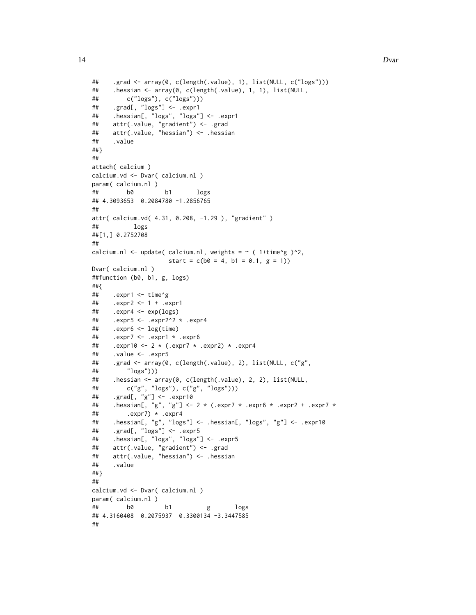```
## .grad <- array(0, c(length(.value), 1), list(NULL, c("logs")))
## .hessian <- array(0, c(length(.value), 1, 1), list(NULL,
## c("logs"), c("logs")))
## .grad[, "logs"] <- .expr1
## .hessian[, "logs", "logs"] <- .expr1
## attr(.value, "gradient") <- .grad
## attr(.value, "hessian") <- .hessian
## .value
##}
##
attach( calcium )
calcium.vd <- Dvar( calcium.nl )
param( calcium.nl )
## b0 b1 logs
## 4.3093653 0.2084780 -1.2856765
##
attr( calcium.vd( 4.31, 0.208, -1.29 ), "gradient" )
## logs
##[1,] 0.2752708
##
calcium.nl <- update( calcium.nl, weights = \sim ( 1+time^g )^2,
                    start = c(b0 = 4, b1 = 0.1, g = 1)Dvar( calcium.nl)
##function (b0, b1, g, logs)
##{
## .expr1 <- time^g
## .expr2 <- 1 + .expr1
## .expr4 <- exp(logs)
## .expr5 <- .expr2^2 * .expr4
## .expr6 <- log(time)
## .expr7 <- .expr1 * .expr6
## .expr10 <- 2 * (.expr7 * .expr2) * .expr4
## .value <- .expr5
## .grad <- array(0, c(length(.value), 2), list(NULL, c("g",
## "logs")))
## .hessian <- array(0, c(length(.value), 2, 2), list(NULL,
## c("g", "logs"), c("g", "logs")))
## .grad[, "g"] <- .expr10
## .hessian[, "g", "g"] <- 2 * (.expr7 * .expr6 * .expr2 + .expr7 *
\## .expr7) * .expr4
## .hessian[, "g", "logs"] <- .hessian[, "logs", "g"] <- .expr10
## .grad[, "logs"] <- .expr5
## .hessian[, "logs", "logs"] <- .expr5
## attr(.value, "gradient") <- .grad
## attr(.value, "hessian") <- .hessian
## .value
##}
##
calcium.vd <- Dvar( calcium.nl )
param( calcium.nl )
## b0 b1 g logs
## 4.3160408 0.2075937 0.3300134 -3.3447585
##
```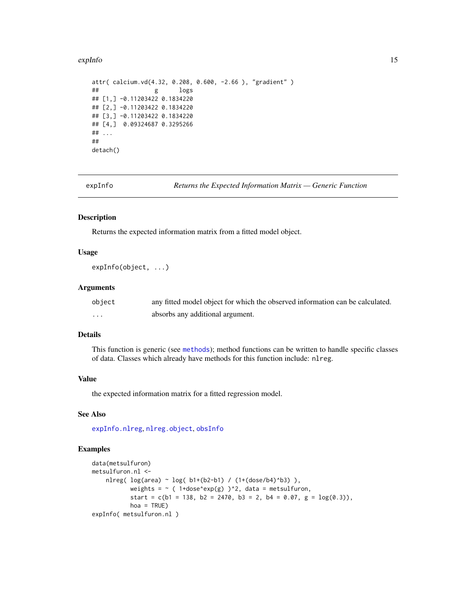#### <span id="page-14-0"></span>expInfo 15

```
attr( calcium.vd(4.32, 0.208, 0.600, -2.66 ), "gradient" )
## g logs
## [1,] -0.11203422 0.1834220
## [2,] -0.11203422 0.1834220
## [3,] -0.11203422 0.1834220
## [4,] 0.09324687 0.3295266
## ...
##
detach()
```
expInfo *Returns the Expected Information Matrix — Generic Function*

# Description

Returns the expected information matrix from a fitted model object.

# Usage

expInfo(object, ...)

#### Arguments

| object | any fitted model object for which the observed information can be calculated. |
|--------|-------------------------------------------------------------------------------|
| .      | absorbs any additional argument.                                              |

# Details

This function is generic (see [methods](#page-0-0)); method functions can be written to handle specific classes of data. Classes which already have methods for this function include: nlreg.

#### Value

the expected information matrix for a fitted regression model.

# See Also

[expInfo.nlreg](#page-15-1), [nlreg.object](#page-30-1), [obsInfo](#page-32-1)

# Examples

```
data(metsulfuron)
metsulfuron.nl <-
   nlreg( log(area) ~ log( b1+(b2-b1) / (1+(dose/b4)^b3) ),
           weights = \sim ( 1+dose^exp(g) )^2, data = metsulfuron,
           start = c(b1 = 138, b2 = 2470, b3 = 2, b4 = 0.07, g = log(0.3)),hoa = TRUE)
expInfo( metsulfuron.nl )
```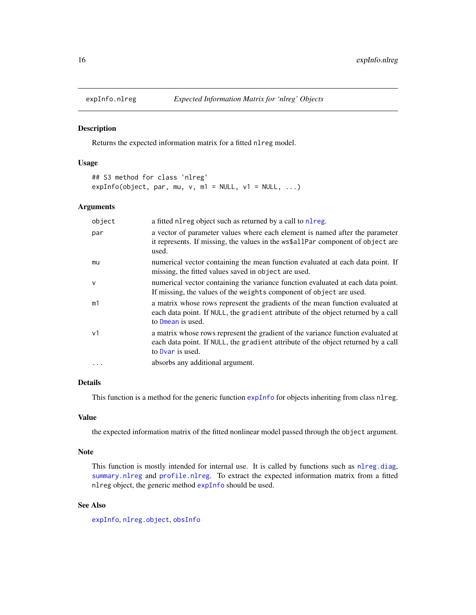<span id="page-15-1"></span><span id="page-15-0"></span>

## Description

Returns the expected information matrix for a fitted nlreg model.

# Usage

```
## S3 method for class 'nlreg'
expInfo(object, par, mu, v, m1 = NULL, v1 = NULL, ...)
```
#### Arguments

| object       | a fitted nl reg object such as returned by a call to nl reg.                                                                                                                              |
|--------------|-------------------------------------------------------------------------------------------------------------------------------------------------------------------------------------------|
| par          | a vector of parameter values where each element is named after the parameter<br>it represents. If missing, the values in the ws\$allPar component of object are<br>used.                  |
| mu           | numerical vector containing the mean function evaluated at each data point. If<br>missing, the fitted values saved in object are used.                                                    |
| $\mathsf{V}$ | numerical vector containing the variance function evaluated at each data point.<br>If missing, the values of the weights component of object are used.                                    |
| m1           | a matrix whose rows represent the gradients of the mean function evaluated at<br>each data point. If NULL, the gradient attribute of the object returned by a call<br>to Dmean is used.   |
| v1           | a matrix whose rows represent the gradient of the variance function evaluated at<br>each data point. If NULL, the gradient attribute of the object returned by a call<br>to Dyar is used. |
| $\ddotsc$    | absorbs any additional argument.                                                                                                                                                          |

#### Details

This function is a method for the generic function [expInfo](#page-14-1) for objects inheriting from class nlreg.

#### Value

the expected information matrix of the fitted nonlinear model passed through the object argument.

#### Note

This function is mostly intended for internal use. It is called by functions such as [nlreg.diag](#page-27-1), [summary.nlreg](#page-48-1) and [profile.nlreg](#page-41-1). To extract the expected information matrix from a fitted nlreg object, the generic method [expInfo](#page-14-1) should be used.

# See Also

[expInfo](#page-14-1), [nlreg.object](#page-30-1), [obsInfo](#page-32-1)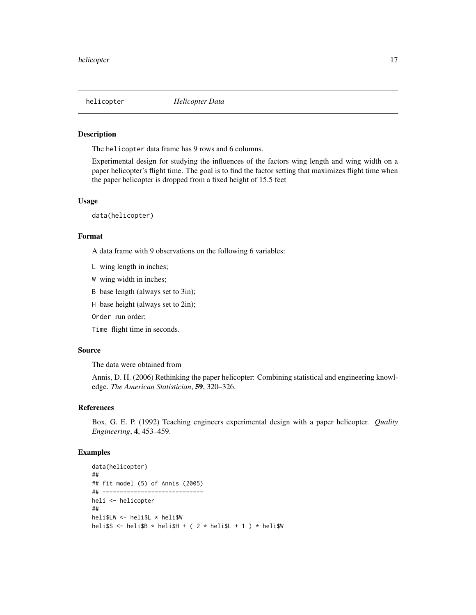<span id="page-16-0"></span>

#### **Description**

The helicopter data frame has 9 rows and 6 columns.

Experimental design for studying the influences of the factors wing length and wing width on a paper helicopter's flight time. The goal is to find the factor setting that maximizes flight time when the paper helicopter is dropped from a fixed height of 15.5 feet

#### Usage

data(helicopter)

# Format

A data frame with 9 observations on the following 6 variables:

- L wing length in inches;
- W wing width in inches;

B base length (always set to 3in);

H base height (always set to 2in);

Order run order;

Time flight time in seconds.

#### Source

The data were obtained from

Annis, D. H. (2006) Rethinking the paper helicopter: Combining statistical and engineering knowledge. *The American Statistician*, 59, 320–326.

#### References

Box, G. E. P. (1992) Teaching engineers experimental design with a paper helicopter. *Quality Engineering*, 4, 453–459.

## Examples

```
data(helicopter)
##
## fit model (5) of Annis (2005)
## -----------------------------
heli <- helicopter
##
heli$LW <- heli$L * heli$W
heli$S <- heli$B * heli$H + ( 2 * heli$L + 1 ) * heli$W
```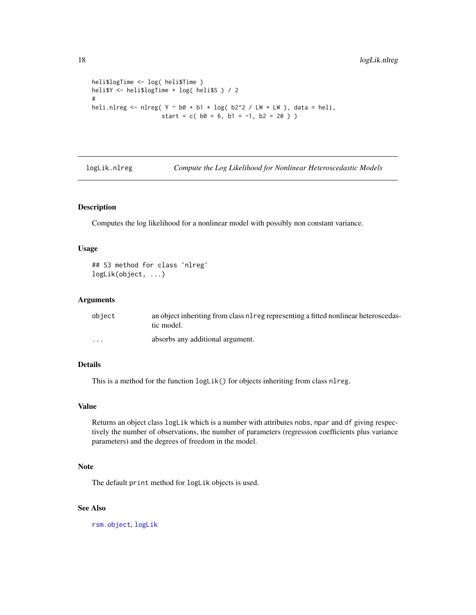```
heli$logTime <- log( heli$Time )
heli$Y <- heli$logTime + log( heli$S ) / 2
#
heli.nlreg <- nlreg( Y \sim b0 + b1 \times \log(b2^2 / LW + LW), data = heli,
                    start = c(b0 = 6, b1 = -1, b2 = 20))
```
logLik.nlreg *Compute the Log Likelihood for Nonlinear Heteroscedastic Models*

#### Description

Computes the log likelihood for a nonlinear model with possibly non constant variance.

#### Usage

```
## S3 method for class 'nlreg'
logLik(object, ...)
```
# Arguments

| object   | an object inheriting from class n1reg representing a fitted nonlinear heteroscedas-<br>tic model. |
|----------|---------------------------------------------------------------------------------------------------|
| $\cdots$ | absorbs any additional argument.                                                                  |

#### Details

This is a method for the function  $logLik()$  for objects inheriting from class nlreg.

# Value

Returns an object class logLik which is a number with attributes nobs, npar and df giving respectively the number of observations, the number of parameters (regression coefficients plus variance parameters) and the degrees of freedom in the model.

# Note

The default print method for logLik objects is used.

#### See Also

[rsm.object](#page-0-0), [logLik](#page-0-0)

<span id="page-17-0"></span>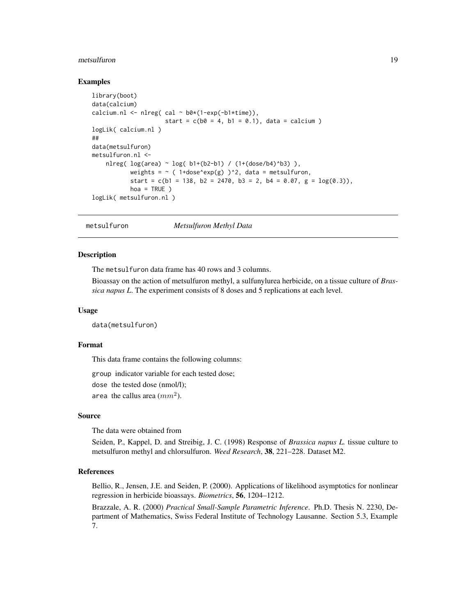#### <span id="page-18-0"></span>metsulfuron and the set of the set of the set of the set of the set of the set of the set of the set of the set of the set of the set of the set of the set of the set of the set of the set of the set of the set of the set

#### Examples

```
library(boot)
data(calcium)
calcium.nl <- nlreg( cal \sim b0*(1-exp(-b1*time)),
                     start = c(b0 = 4, b1 = 0.1), data = calcium)
logLik( calcium.nl )
##
data(metsulfuron)
metsulfuron.nl <-
   nlreg( log(area) ~ log( b1+(b2-b1) / (1+(dose/b4)^b3) ),
           weights = \sim ( 1+dose^exp(g) )^2, data = metsulfuron,
           start = c(b1 = 138, b2 = 2470, b3 = 2, b4 = 0.07, g = log(0.3)),hoa = TRUE )
logLik( metsulfuron.nl )
```
<span id="page-18-1"></span>metsulfuron *Metsulfuron Methyl Data*

#### **Description**

The metsulfuron data frame has 40 rows and 3 columns.

Bioassay on the action of metsulfuron methyl, a sulfunylurea herbicide, on a tissue culture of *Brassica napus L*. The experiment consists of 8 doses and 5 replications at each level.

#### Usage

data(metsulfuron)

# Format

This data frame contains the following columns:

group indicator variable for each tested dose;

dose the tested dose (nmol/l);

area the callus area  $(mm^2)$ .

#### Source

The data were obtained from

Seiden, P., Kappel, D. and Streibig, J. C. (1998) Response of *Brassica napus L.* tissue culture to metsulfuron methyl and chlorsulfuron. *Weed Research*, 38, 221–228. Dataset M2.

#### References

Bellio, R., Jensen, J.E. and Seiden, P. (2000). Applications of likelihood asymptotics for nonlinear regression in herbicide bioassays. *Biometrics*, 56, 1204–1212.

Brazzale, A. R. (2000) *Practical Small-Sample Parametric Inference*. Ph.D. Thesis N. 2230, Department of Mathematics, Swiss Federal Institute of Technology Lausanne. Section 5.3, Example 7.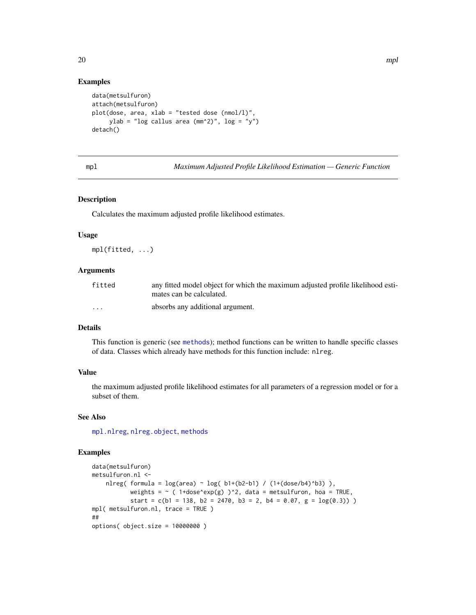#### Examples

```
data(metsulfuron)
attach(metsulfuron)
plot(dose, area, xlab = "tested dose (nmol/l)",
     ylab = "log callus area (\text{mm}^2)", log = "y")
detach()
```
<span id="page-19-1"></span>mpl *Maximum Adjusted Profile Likelihood Estimation — Generic Function*

#### Description

Calculates the maximum adjusted profile likelihood estimates.

#### Usage

mpl(fitted, ...)

#### Arguments

| fitted   | any fitted model object for which the maximum adjusted profile likelihood esti- |
|----------|---------------------------------------------------------------------------------|
|          | mates can be calculated.                                                        |
| $\cdots$ | absorbs any additional argument.                                                |

## Details

This function is generic (see [methods](#page-0-0)); method functions can be written to handle specific classes of data. Classes which already have methods for this function include: nlreg.

#### Value

the maximum adjusted profile likelihood estimates for all parameters of a regression model or for a subset of them.

# See Also

[mpl.nlreg](#page-20-1), [nlreg.object](#page-30-1), [methods](#page-0-0)

#### Examples

```
data(metsulfuron)
metsulfuron.nl <-
   nlreg( formula = log(area) \sim log( b1+(b2-b1) / (1+(dose/b4)^b3) ),
           weights = \sim ( 1+dose^exp(g) )^2, data = metsulfuron, hoa = TRUE,
           start = c(b1 = 138, b2 = 2470, b3 = 2, b4 = 0.07, g = log(0.3))mpl( metsulfuron.nl, trace = TRUE )
##
options( object.size = 10000000 )
```
<span id="page-19-0"></span>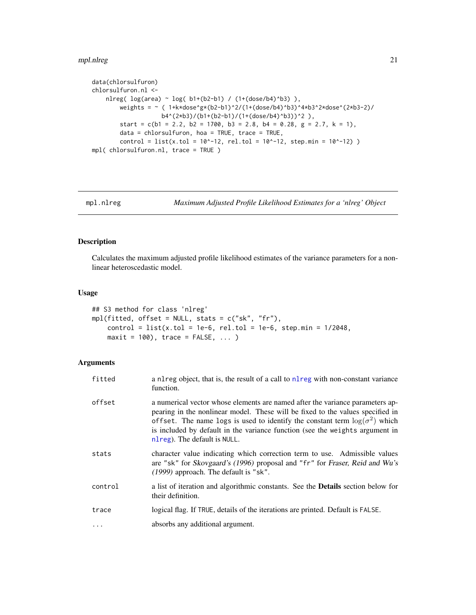#### <span id="page-20-0"></span>mpl.nlreg 21

```
data(chlorsulfuron)
chlorsulfuron.nl <-
   nlreg( log(area) ~ log( b1+(b2-b1) / (1+(dose/b4)^b3) ),
        weights = \sim ( 1+k*dose^g*(b2-b1)^2/(1+(dose/b4)^b3)^4*b3^2*dose^(2*b3-2)/
                    b4^(2*b3)/(b1+(b2-b1)/(1+(dose/b4)^b3))^2 ),
        start = c(b1 = 2.2, b2 = 1700, b3 = 2.8, b4 = 0.28, g = 2.7, k = 1),data = chlorsulfuron, hoa = TRUE, trace = TRUE,
        control = list(x.tol = 10^x - 12, rel.tol = 10^x - 12, step.min = 10^x - 12) )
mpl( chlorsulfuron.nl, trace = TRUE )
```

```
mpl.nlreg Maximum Adjusted Profile Likelihood Estimates for a 'nlreg' Object
```
#### Description

Calculates the maximum adjusted profile likelihood estimates of the variance parameters for a nonlinear heteroscedastic model.

#### Usage

```
## S3 method for class 'nlreg'
mpl(fitted, offset = NULL, stats = c("sk", "fr"),
    control = list(x.tol = 1e-6, rel.tol = 1e-6, step.min = 1/2048,maxit = 100, trace = FALSE, ...
```
# Arguments

| fitted     | a nl reg object, that is, the result of a call to nl reg with non-constant variance<br>function.                                                                                                                                                                                                                                                                       |
|------------|------------------------------------------------------------------------------------------------------------------------------------------------------------------------------------------------------------------------------------------------------------------------------------------------------------------------------------------------------------------------|
| offset     | a numerical vector whose elements are named after the variance parameters ap-<br>pearing in the nonlinear model. These will be fixed to the values specified in<br>offset. The name logs is used to identify the constant term $\log(\sigma^2)$ which<br>is included by default in the variance function (see the weights argument in<br>nl reg). The default is NULL. |
| stats      | character value indicating which correction term to use. Admissible values<br>are "sk" for Skovgaard's (1996) proposal and "fr" for Fraser, Reid and Wu's<br>(1999) approach. The default is "sk".                                                                                                                                                                     |
| control    | a list of iteration and algorithmic constants. See the <b>Details</b> section below for<br>their definition.                                                                                                                                                                                                                                                           |
| trace      | logical flag. If TRUE, details of the iterations are printed. Default is FALSE.                                                                                                                                                                                                                                                                                        |
| $\ddots$ . | absorbs any additional argument.                                                                                                                                                                                                                                                                                                                                       |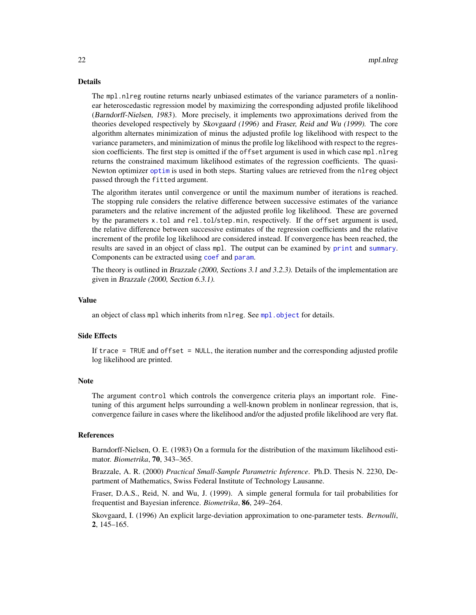#### <span id="page-21-0"></span>Details

The mpl.nlreg routine returns nearly unbiased estimates of the variance parameters of a nonlinear heteroscedastic regression model by maximizing the corresponding adjusted profile likelihood (Barndorff-Nielsen, 1983). More precisely, it implements two approximations derived from the theories developed respectively by Skovgaard (1996) and Fraser, Reid and Wu (1999). The core algorithm alternates minimization of minus the adjusted profile log likelihood with respect to the variance parameters, and minimization of minus the profile log likelihood with respect to the regression coefficients. The first step is omitted if the offset argument is used in which case mpl.nlreg returns the constrained maximum likelihood estimates of the regression coefficients. The quasi-Newton optimizer [optim](#page-0-0) is used in both steps. Starting values are retrieved from the nlreg object passed through the fitted argument.

The algorithm iterates until convergence or until the maximum number of iterations is reached. The stopping rule considers the relative difference between successive estimates of the variance parameters and the relative increment of the adjusted profile log likelihood. These are governed by the parameters x.tol and rel.tol/step.min, respectively. If the offset argument is used, the relative difference between successive estimates of the regression coefficients and the relative increment of the profile log likelihood are considered instead. If convergence has been reached, the results are saved in an object of class mpl. The output can be examined by [print](#page-0-0) and [summary](#page-0-0). Components can be extracted using [coef](#page-0-0) and [param](#page-34-1).

The theory is outlined in Brazzale (2000, Sections 3.1 and 3.2.3). Details of the implementation are given in Brazzale (2000, Section 6.3.1).

# Value

an object of class mpl which inherits from nlreg. See [mpl.object](#page-22-1) for details.

#### Side Effects

If trace = TRUE and offset = NULL, the iteration number and the corresponding adjusted profile log likelihood are printed.

#### **Note**

The argument control which controls the convergence criteria plays an important role. Finetuning of this argument helps surrounding a well-known problem in nonlinear regression, that is, convergence failure in cases where the likelihood and/or the adjusted profile likelihood are very flat.

# References

Barndorff-Nielsen, O. E. (1983) On a formula for the distribution of the maximum likelihood estimator. *Biometrika*, 70, 343–365.

Brazzale, A. R. (2000) *Practical Small-Sample Parametric Inference*. Ph.D. Thesis N. 2230, Department of Mathematics, Swiss Federal Institute of Technology Lausanne.

Fraser, D.A.S., Reid, N. and Wu, J. (1999). A simple general formula for tail probabilities for frequentist and Bayesian inference. *Biometrika*, 86, 249–264.

Skovgaard, I. (1996) An explicit large-deviation approximation to one-parameter tests. *Bernoulli*, 2, 145–165.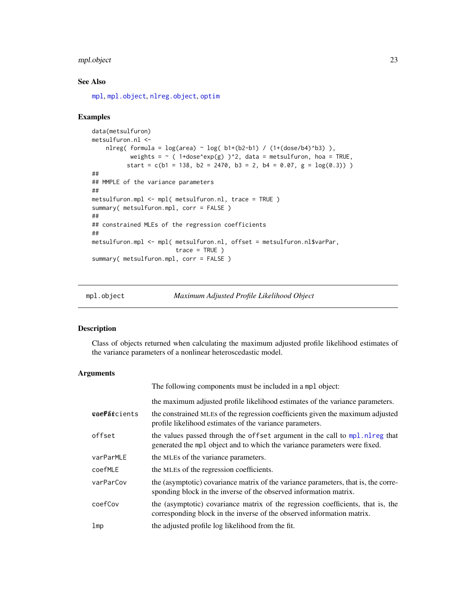# <span id="page-22-0"></span>mpl.object 23

# See Also

[mpl](#page-19-1), [mpl.object](#page-22-1), [nlreg.object](#page-30-1), [optim](#page-0-0)

#### Examples

```
data(metsulfuron)
metsulfuron.nl <-
   nlreg( formula = log(area) \sim log( b1+(b2-b1) / (1+(dose/b4)^b3) ),
          weights = \sim ( 1+dose^exp(g) )^2, data = metsulfuron, hoa = TRUE,
          start = c(b1 = 138, b2 = 2470, b3 = 2, b4 = 0.07, g = log(0.3))##
## MMPLE of the variance parameters
##
metsulfuron.mpl <- mpl( metsulfuron.nl, trace = TRUE )
summary( metsulfuron.mpl, corr = FALSE )
##
## constrained MLEs of the regression coefficients
##
metsulfuron.mpl <- mpl( metsulfuron.nl, offset = metsulfuron.nl$varPar,
                        trace = TRUE )
summary( metsulfuron.mpl, corr = FALSE )
```
<span id="page-22-1"></span>mpl.object *Maximum Adjusted Profile Likelihood Object*

# Description

Class of objects returned when calculating the maximum adjusted profile likelihood estimates of the variance parameters of a nonlinear heteroscedastic model.

#### Arguments

|                 | The following components must be included in a mpl object:                                                                                                 |
|-----------------|------------------------------------------------------------------------------------------------------------------------------------------------------------|
|                 | the maximum adjusted profile likelihood estimates of the variance parameters.                                                                              |
| geeParcients    | the constrained MLEs of the regression coefficients given the maximum adjusted<br>profile likelihood estimates of the variance parameters.                 |
| offset          | the values passed through the offset argument in the call to mpl. nl reg that<br>generated the mpl object and to which the variance parameters were fixed. |
| varParMLE       | the MLEs of the variance parameters.                                                                                                                       |
| coefMLE         | the MLEs of the regression coefficients.                                                                                                                   |
| varParCov       | the (asymptotic) covariance matrix of the variance parameters, that is, the corre-<br>sponding block in the inverse of the observed information matrix.    |
| coefCov         | the (asymptotic) covariance matrix of the regression coefficients, that is, the<br>corresponding block in the inverse of the observed information matrix.  |
| 1 <sub>mp</sub> | the adjusted profile log likelihood from the fit.                                                                                                          |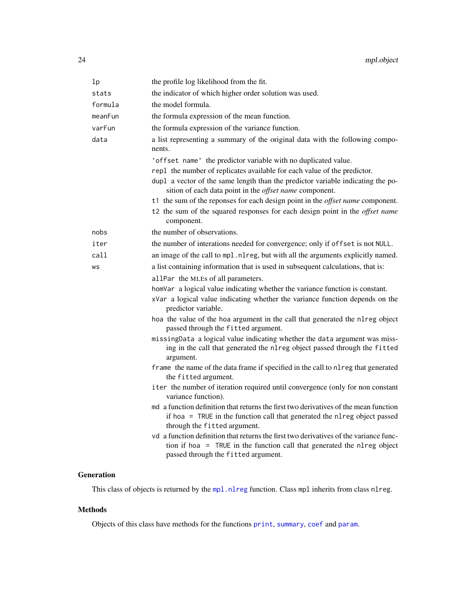<span id="page-23-0"></span>

| lp      | the profile log likelihood from the fit.                                                                                                                                                                |
|---------|---------------------------------------------------------------------------------------------------------------------------------------------------------------------------------------------------------|
| stats   | the indicator of which higher order solution was used.                                                                                                                                                  |
| formula | the model formula.                                                                                                                                                                                      |
| meanFun | the formula expression of the mean function.                                                                                                                                                            |
| varFun  | the formula expression of the variance function.                                                                                                                                                        |
| data    | a list representing a summary of the original data with the following compo-<br>nents.                                                                                                                  |
|         | 'offset name' the predictor variable with no duplicated value.                                                                                                                                          |
|         | rep1 the number of replicates available for each value of the predictor.                                                                                                                                |
|         | dupl a vector of the same length than the predictor variable indicating the po-<br>sition of each data point in the <i>offset name</i> component.                                                       |
|         | t1 the sum of the reponses for each design point in the <i>offset name</i> component.                                                                                                                   |
|         | t2 the sum of the squared responses for each design point in the <i>offset name</i><br>component.                                                                                                       |
| nobs    | the number of observations.                                                                                                                                                                             |
| iter    | the number of interations needed for convergence; only if offset is not NULL.                                                                                                                           |
| call    | an image of the call to mpl.nlreg, but with all the arguments explicitly named.                                                                                                                         |
| WS      | a list containing information that is used in subsequent calculations, that is:                                                                                                                         |
|         | allPar the MLEs of all parameters.                                                                                                                                                                      |
|         | homVar a logical value indicating whether the variance function is constant.                                                                                                                            |
|         | xVar a logical value indicating whether the variance function depends on the<br>predictor variable.                                                                                                     |
|         | hoa the value of the hoa argument in the call that generated the nlreg object<br>passed through the fitted argument.                                                                                    |
|         | missingData a logical value indicating whether the data argument was miss-<br>ing in the call that generated the nlreg object passed through the fitted<br>argument.                                    |
|         | frame the name of the data frame if specified in the call to nlreg that generated<br>the fitted argument.                                                                                               |
|         | iter the number of iteration required until convergence (only for non constant<br>variance function).                                                                                                   |
|         | md a function definition that returns the first two derivatives of the mean function<br>if hoa = TRUE in the function call that generated the nlreg object passed<br>through the fitted argument.       |
|         | vd a function definition that returns the first two derivatives of the variance func-<br>tion if hoa = TRUE in the function call that generated the nlreg object<br>passed through the fitted argument. |

# Generation

This class of objects is returned by the [mpl.nlreg](#page-20-1) function. Class mpl inherits from class nlreg.

# Methods

Objects of this class have methods for the functions [print](#page-0-0), [summary](#page-0-0), [coef](#page-0-0) and [param](#page-34-1).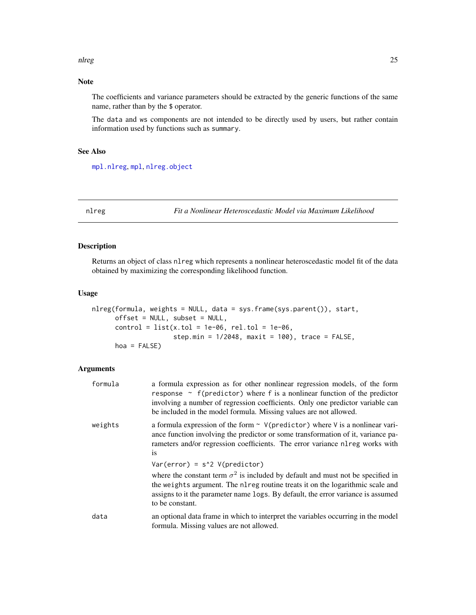#### <span id="page-24-0"></span>nlreg 25

# Note

The coefficients and variance parameters should be extracted by the generic functions of the same name, rather than by the \$ operator.

The data and ws components are not intended to be directly used by users, but rather contain information used by functions such as summary.

# See Also

[mpl.nlreg](#page-20-1), [mpl](#page-19-1), [nlreg.object](#page-30-1)

<span id="page-24-1"></span>nlreg *Fit a Nonlinear Heteroscedastic Model via Maximum Likelihood*

#### Description

Returns an object of class nlreg which represents a nonlinear heteroscedastic model fit of the data obtained by maximizing the corresponding likelihood function.

#### Usage

```
nlreg(formula, weights = NULL, data = sys.frame(sys.parent()), start,
      offset = NULL, subset = NULL,
      control = list(x.tol = 1e-06, rel.tol = 1e-06,step.min = 1/2048, maxit = 100), trace = FALSE,
      hoa = FALSE)
```
#### **Arguments**

| formula | a formula expression as for other nonlinear regression models, of the form<br>response $\sim$ f(predictor) where f is a nonlinear function of the predictor<br>involving a number of regression coefficients. Only one predictor variable can<br>be included in the model formula. Missing values are not allowed. |
|---------|--------------------------------------------------------------------------------------------------------------------------------------------------------------------------------------------------------------------------------------------------------------------------------------------------------------------|
| weights | a formula expression of the form $\sim$ V(predictor) where V is a nonlinear vari-<br>ance function involving the predictor or some transformation of it, variance pa-<br>rameters and/or regression coefficients. The error variance nl reg works with<br><b>1S</b>                                                |
|         | $Var(error) = s^2 V(predictor)$                                                                                                                                                                                                                                                                                    |
|         | where the constant term $\sigma^2$ is included by default and must not be specified in<br>the weights argument. The nl reg routine treats it on the logarithmic scale and<br>assigns to it the parameter name logs. By default, the error variance is assumed<br>to be constant.                                   |
| data    | an optional data frame in which to interpret the variables occurring in the model<br>formula. Missing values are not allowed.                                                                                                                                                                                      |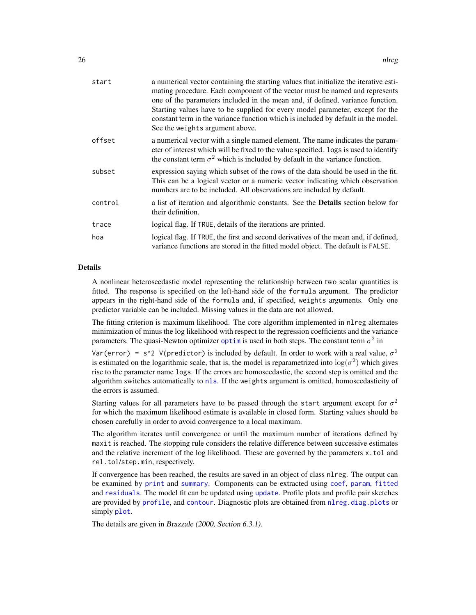<span id="page-25-0"></span>

| start   | a numerical vector containing the starting values that initialize the iterative esti-<br>mating procedure. Each component of the vector must be named and represents<br>one of the parameters included in the mean and, if defined, variance function.<br>Starting values have to be supplied for every model parameter, except for the<br>constant term in the variance function which is included by default in the model.<br>See the weights argument above. |
|---------|-----------------------------------------------------------------------------------------------------------------------------------------------------------------------------------------------------------------------------------------------------------------------------------------------------------------------------------------------------------------------------------------------------------------------------------------------------------------|
| offset  | a numerical vector with a single named element. The name indicates the param-<br>eter of interest which will be fixed to the value specified. logs is used to identify<br>the constant term $\sigma^2$ which is included by default in the variance function.                                                                                                                                                                                                   |
| subset  | expression saying which subset of the rows of the data should be used in the fit.<br>This can be a logical vector or a numeric vector indicating which observation<br>numbers are to be included. All observations are included by default.                                                                                                                                                                                                                     |
| control | a list of iteration and algorithmic constants. See the <b>Details</b> section below for<br>their definition.                                                                                                                                                                                                                                                                                                                                                    |
| trace   | logical flag. If TRUE, details of the iterations are printed.                                                                                                                                                                                                                                                                                                                                                                                                   |
| hoa     | logical flag. If TRUE, the first and second derivatives of the mean and, if defined,<br>variance functions are stored in the fitted model object. The default is FALSE.                                                                                                                                                                                                                                                                                         |
|         |                                                                                                                                                                                                                                                                                                                                                                                                                                                                 |

#### Details

A nonlinear heteroscedastic model representing the relationship between two scalar quantities is fitted. The response is specified on the left-hand side of the formula argument. The predictor appears in the right-hand side of the formula and, if specified, weights arguments. Only one predictor variable can be included. Missing values in the data are not allowed.

The fitting criterion is maximum likelihood. The core algorithm implemented in nlreg alternates minimization of minus the log likelihood with respect to the regression coefficients and the variance parameters. The quasi-Newton [optim](#page-0-0)izer optim is used in both steps. The constant term  $\sigma^2$  in

Var(error) = s^2 V(predictor) is included by default. In order to work with a real value,  $\sigma^2$ is estimated on the logarithmic scale, that is, the model is reparametrized into  $\log(\sigma^2)$  which gives rise to the parameter name logs. If the errors are homoscedastic, the second step is omitted and the algorithm switches automatically to [nls](#page-0-0). If the weights argument is omitted, homoscedasticity of the errors is assumed.

Starting values for all parameters have to be passed through the start argument except for  $\sigma^2$ for which the maximum likelihood estimate is available in closed form. Starting values should be chosen carefully in order to avoid convergence to a local maximum.

The algorithm iterates until convergence or until the maximum number of iterations defined by maxit is reached. The stopping rule considers the relative difference between successive estimates and the relative increment of the log likelihood. These are governed by the parameters x.tol and rel.tol/step.min, respectively.

If convergence has been reached, the results are saved in an object of class nlreg. The output can be examined by [print](#page-0-0) and [summary](#page-0-0). Components can be extracted using [coef](#page-0-0), [param](#page-34-1), [fitted](#page-0-0) and [residuals](#page-0-0). The model fit can be updated using [update](#page-0-0). Profile plots and profile pair sketches are provided by [profile](#page-0-0), and [contour](#page-0-0). Diagnostic plots are obtained from [nlreg.diag.plots](#page-36-1) or simply [plot](#page-0-0).

The details are given in Brazzale (2000, Section 6.3.1).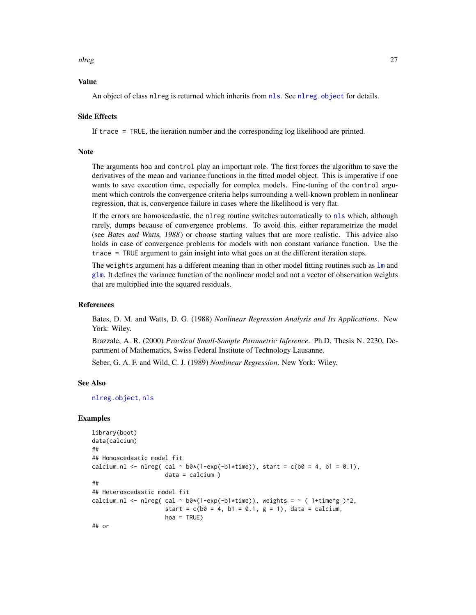#### <span id="page-26-0"></span>nlreg 27

#### Value

An object of class nlreg is returned which inherits from [nls](#page-0-0). See nlreg. object for details.

#### Side Effects

If trace = TRUE, the iteration number and the corresponding log likelihood are printed.

#### Note

The arguments hoa and control play an important role. The first forces the algorithm to save the derivatives of the mean and variance functions in the fitted model object. This is imperative if one wants to save execution time, especially for complex models. Fine-tuning of the control argument which controls the convergence criteria helps surrounding a well-known problem in nonlinear regression, that is, convergence failure in cases where the likelihood is very flat.

If the errors are homoscedastic, the nlreg routine switches automatically to [nls](#page-0-0) which, although rarely, dumps because of convergence problems. To avoid this, either reparametrize the model (see Bates and Watts, 1988) or choose starting values that are more realistic. This advice also holds in case of convergence problems for models with non constant variance function. Use the trace = TRUE argument to gain insight into what goes on at the different iteration steps.

The weights argument has a different meaning than in other model fitting routines such as  $\text{1m}$  and [glm](#page-0-0). It defines the variance function of the nonlinear model and not a vector of observation weights that are multiplied into the squared residuals.

#### References

Bates, D. M. and Watts, D. G. (1988) *Nonlinear Regression Analysis and Its Applications*. New York: Wiley.

Brazzale, A. R. (2000) *Practical Small-Sample Parametric Inference*. Ph.D. Thesis N. 2230, Department of Mathematics, Swiss Federal Institute of Technology Lausanne.

Seber, G. A. F. and Wild, C. J. (1989) *Nonlinear Regression*. New York: Wiley.

# See Also

[nlreg.object](#page-30-1), [nls](#page-0-0)

#### Examples

```
library(boot)
data(calcium)
##
## Homoscedastic model fit
calcium.nl <- nlreg( cal ~ b0*(1-exp(-b1*time)), start = c(b0 = 4, b1 = 0.1),
                     data = calcium )
##
## Heteroscedastic model fit
calcium.nl <- nlreg( cal ~ b0*(1-exp(-b1*time)), weights = ~ ( 1+time^g )^2,
                     start = c(b0 = 4, b1 = 0.1, g = 1), data = calcium,
                     hoa = TRUE)
## or
```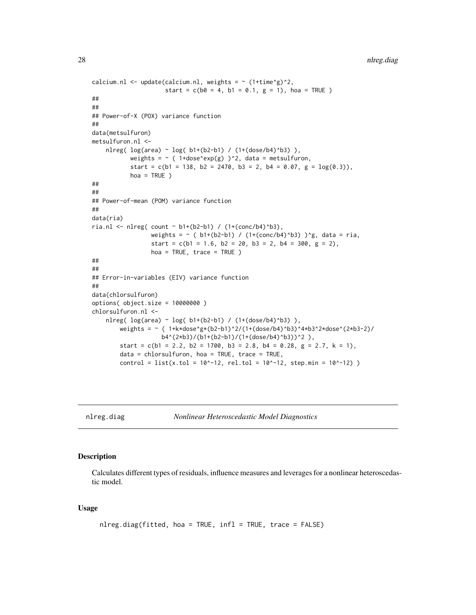```
calcium.nl <- update(calcium.nl, weights = \sim (1+time^g)^2,
                     start = c(b0 = 4, b1 = 0.1, g = 1), hoa = TRUE )
##
##
## Power-of-X (POX) variance function
##
data(metsulfuron)
metsulfuron.nl <-
    nlreg( log(area) \sim log( b1+(b2-b1) / (1+(dose/b4)^{b3}) ),
           weights = \sim ( 1+dose^exp(g) )^2, data = metsulfuron,
           start = c(b1 = 138, b2 = 2470, b3 = 2, b4 = 0.07, g = log(0.3)),hoa = TRUE )
##
##
## Power-of-mean (POM) variance function
##
data(ria)
ria.nl <- nlreg( count \sim b1+(b2-b1) / (1+(conc/b4)^b3),
                 weights = \sim ( b1+(b2-b1) / (1+(conc/b4)^b3) )^g, data = ria,
                 start = c(b1 = 1.6, b2 = 20, b3 = 2, b4 = 300, g = 2),
                 hoa = TRUE, trace = TRUE )
##
##
## Error-in-variables (EIV) variance function
##
data(chlorsulfuron)
options( object.size = 10000000 )
chlorsulfuron.nl <-
    nlreg( log(area) ~ log( b1+(b2-b1) / (1+(dose/b4)^b3) ),
        weights = ~ ( 1+k*dose^g*(b2-b1)^2/(1+(dose/b4)^b3)^4*b3^2*dose^(2*b3-2)/
                    b4^(2*b3)/(b1+(b2-b1)/(1+(dose/b4)^b3))^2 ),
        start = c(b1 = 2.2, b2 = 1700, b3 = 2.8, b4 = 0.28, g = 2.7, k = 1),data = chlorsulfuron, hoa = TRUE, trace = TRUE,
        control = list(x.tol = 10^x - 12, rel.tol = 10^x - 12, step.min = 10^x - 12) )
```
<span id="page-27-1"></span>

nlreg.diag *Nonlinear Heteroscedastic Model Diagnostics*

# Description

Calculates different types of residuals, influence measures and leverages for a nonlinear heteroscedastic model.

#### Usage

```
nlreg.diag(fitted, hoa = TRUE, infl = TRUE, trace = FALSE)
```
<span id="page-27-0"></span>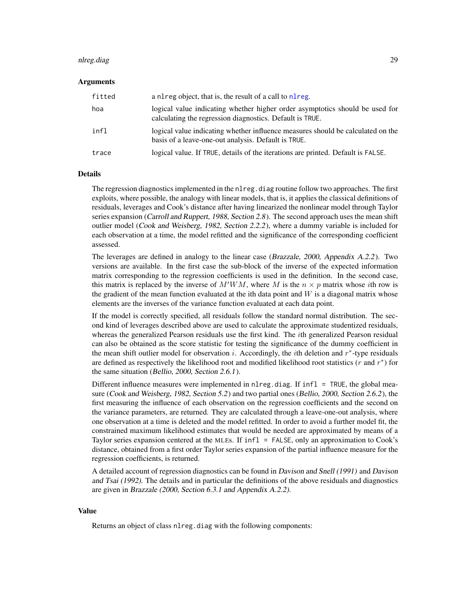#### <span id="page-28-0"></span>nlreg.diag 29

#### Arguments

| fitted | a nl reg object, that is, the result of a call to nl reg.                                                                                |
|--------|------------------------------------------------------------------------------------------------------------------------------------------|
| hoa    | logical value indicating whether higher order asymptotics should be used for<br>calculating the regression diagnostics. Default is TRUE. |
| infl   | logical value indicating whether influence measures should be calculated on the<br>basis of a leave-one-out analysis. Default is TRUE.   |
| trace  | logical value. If TRUE, details of the iterations are printed. Default is FALSE.                                                         |

#### Details

The regression diagnostics implemented in the nlreg.diag routine follow two approaches. The first exploits, where possible, the analogy with linear models, that is, it applies the classical definitions of residuals, leverages and Cook's distance after having linearized the nonlinear model through Taylor series expansion (Carroll and Ruppert, 1988, Section 2.8). The second approach uses the mean shift outlier model (Cook and Weisberg, 1982, Section 2.2.2), where a dummy variable is included for each observation at a time, the model refitted and the significance of the corresponding coefficient assessed.

The leverages are defined in analogy to the linear case (Brazzale, 2000, Appendix A.2.2). Two versions are available. In the first case the sub-block of the inverse of the expected information matrix corresponding to the regression coefficients is used in the definition. In the second case, this matrix is replaced by the inverse of  $M'WM$ , where M is the  $n \times p$  matrix whose *i*th row is the gradient of the mean function evaluated at the ith data point and  $W$  is a diagonal matrix whose elements are the inverses of the variance function evaluated at each data point.

If the model is correctly specified, all residuals follow the standard normal distribution. The second kind of leverages described above are used to calculate the approximate studentized residuals, whereas the generalized Pearson residuals use the first kind. The ith generalized Pearson residual can also be obtained as the score statistic for testing the significance of the dummy coefficient in the mean shift outlier model for observation  $i$ . Accordingly, the  $i$ th deletion and  $r^*$ -type residuals are defined as respectively the likelihood root and modified likelihood root statistics  $(r$  and  $r^*)$  for the same situation (Bellio, 2000, Section 2.6.1).

Different influence measures were implemented in nlreg.diag. If infl  $=$  TRUE, the global measure (Cook and Weisberg, 1982, Section 5.2) and two partial ones (Bellio, 2000, Section 2.6.2), the first measuring the influence of each observation on the regression coefficients and the second on the variance parameters, are returned. They are calculated through a leave-one-out analysis, where one observation at a time is deleted and the model refitted. In order to avoid a further model fit, the constrained maximum likelihood estimates that would be needed are approximated by means of a Taylor series expansion centered at the MLEs. If infl = FALSE, only an approximation to Cook's distance, obtained from a first order Taylor series expansion of the partial influence measure for the regression coefficients, is returned.

A detailed account of regression diagnostics can be found in Davison and Snell (1991) and Davison and Tsai (1992). The details and in particular the definitions of the above residuals and diagnostics are given in Brazzale (2000, Section 6.3.1 and Appendix A.2.2).

#### Value

Returns an object of class nlreg.diag with the following components: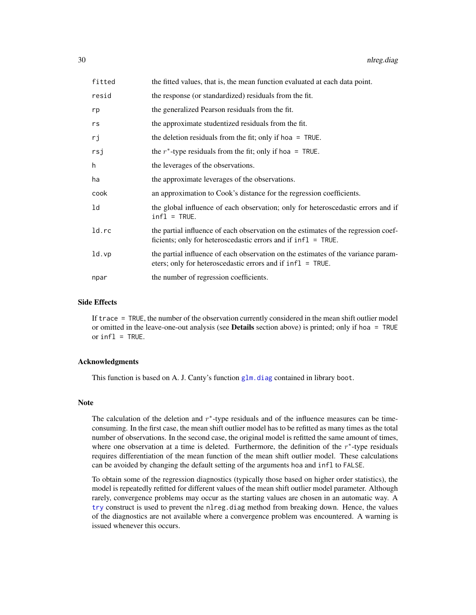<span id="page-29-0"></span>

| fitted | the fitted values, that is, the mean function evaluated at each data point.                                                                            |
|--------|--------------------------------------------------------------------------------------------------------------------------------------------------------|
| resid  | the response (or standardized) residuals from the fit.                                                                                                 |
| rp     | the generalized Pearson residuals from the fit.                                                                                                        |
| rs     | the approximate studentized residuals from the fit.                                                                                                    |
| rj     | the deletion residuals from the fit; only if hoa $=$ TRUE.                                                                                             |
| rsj    | the $r^*$ -type residuals from the fit; only if hoa = TRUE.                                                                                            |
| h      | the leverages of the observations.                                                                                                                     |
| ha     | the approximate leverages of the observations.                                                                                                         |
| cook   | an approximation to Cook's distance for the regression coefficients.                                                                                   |
| ld     | the global influence of each observation; only for heteroscedastic errors and if<br>$infl = TRUE.$                                                     |
| ld.rc  | the partial influence of each observation on the estimates of the regression coef-<br>ficients; only for heteroscedastic errors and if $infl = TRUE$ . |
| ld.vp  | the partial influence of each observation on the estimates of the variance param-<br>eters; only for heteroscedastic errors and if infl = TRUE.        |
| npar   | the number of regression coefficients.                                                                                                                 |

#### Side Effects

If trace = TRUE, the number of the observation currently considered in the mean shift outlier model or omitted in the leave-one-out analysis (see Details section above) is printed; only if hoa = TRUE or infl = TRUE.

#### Acknowledgments

This function is based on A. J. Canty's function [glm.diag](#page-0-0) contained in library boot.

#### Note

The calculation of the deletion and  $r^*$ -type residuals and of the influence measures can be timeconsuming. In the first case, the mean shift outlier model has to be refitted as many times as the total number of observations. In the second case, the original model is refitted the same amount of times, where one observation at a time is deleted. Furthermore, the definition of the  $r^*$ -type residuals requires differentiation of the mean function of the mean shift outlier model. These calculations can be avoided by changing the default setting of the arguments hoa and infl to FALSE.

To obtain some of the regression diagnostics (typically those based on higher order statistics), the model is repeatedly refitted for different values of the mean shift outlier model parameter. Although rarely, convergence problems may occur as the starting values are chosen in an automatic way. A [try](#page-0-0) construct is used to prevent the nlreg.diag method from breaking down. Hence, the values of the diagnostics are not available where a convergence problem was encountered. A warning is issued whenever this occurs.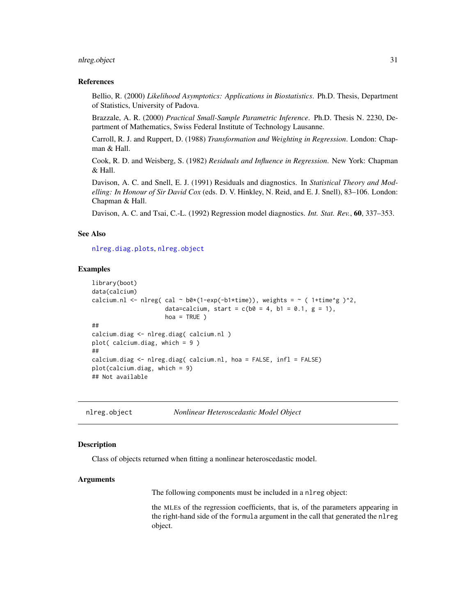#### <span id="page-30-0"></span>nlreg.object 31

#### References

Bellio, R. (2000) *Likelihood Asymptotics: Applications in Biostatistics*. Ph.D. Thesis, Department of Statistics, University of Padova.

Brazzale, A. R. (2000) *Practical Small-Sample Parametric Inference*. Ph.D. Thesis N. 2230, Department of Mathematics, Swiss Federal Institute of Technology Lausanne.

Carroll, R. J. and Ruppert, D. (1988) *Transformation and Weighting in Regression*. London: Chapman & Hall.

Cook, R. D. and Weisberg, S. (1982) *Residuals and Influence in Regression*. New York: Chapman & Hall.

Davison, A. C. and Snell, E. J. (1991) Residuals and diagnostics. In *Statistical Theory and Modelling: In Honour of Sir David Cox* (eds. D. V. Hinkley, N. Reid, and E. J. Snell), 83–106. London: Chapman & Hall.

Davison, A. C. and Tsai, C.-L. (1992) Regression model diagnostics. *Int. Stat. Rev.*, 60, 337–353.

#### See Also

[nlreg.diag.plots](#page-36-1), [nlreg.object](#page-30-1)

# Examples

```
library(boot)
data(calcium)
calcium.nl <- nlreg( cal ~ b0*(1-exp(-b1*time)), weights = ~ ( 1+time^g )^2,
                     data=calcium, start = c(b0 = 4, b1 = 0.1, g = 1),
                     hoa = TRUE )
##
calcium.diag <- nlreg.diag( calcium.nl )
plot( calcium.diag, which = 9 )
##
calcium.diag <- nlreg.diag( calcium.nl, hoa = FALSE, infl = FALSE)
plot(calcium.diag, which = 9)
## Not available
```
<span id="page-30-1"></span>nlreg.object *Nonlinear Heteroscedastic Model Object*

#### Description

Class of objects returned when fitting a nonlinear heteroscedastic model.

#### Arguments

The following components must be included in a nlreg object:

the MLEs of the regression coefficients, that is, of the parameters appearing in the right-hand side of the formula argument in the call that generated the nlreg object.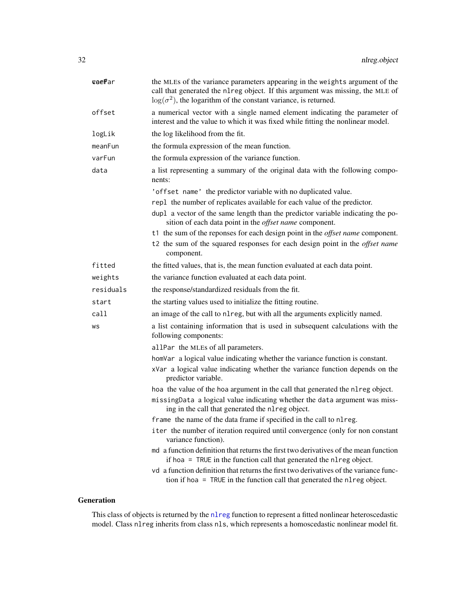<span id="page-31-0"></span>

| veePar    | the MLEs of the variance parameters appearing in the weights argument of the<br>call that generated the nlreg object. If this argument was missing, the MLE of<br>$\log(\sigma^2)$ , the logarithm of the constant variance, is returned. |
|-----------|-------------------------------------------------------------------------------------------------------------------------------------------------------------------------------------------------------------------------------------------|
| offset    | a numerical vector with a single named element indicating the parameter of<br>interest and the value to which it was fixed while fitting the nonlinear model.                                                                             |
| logLik    | the log likelihood from the fit.                                                                                                                                                                                                          |
| meanFun   | the formula expression of the mean function.                                                                                                                                                                                              |
| varFun    | the formula expression of the variance function.                                                                                                                                                                                          |
| data      | a list representing a summary of the original data with the following compo-<br>nents:                                                                                                                                                    |
|           | 'offset name' the predictor variable with no duplicated value.                                                                                                                                                                            |
|           | rep1 the number of replicates available for each value of the predictor.                                                                                                                                                                  |
|           | dupl a vector of the same length than the predictor variable indicating the po-<br>sition of each data point in the offset name component.                                                                                                |
|           | t1 the sum of the reponses for each design point in the <i>offset name</i> component.                                                                                                                                                     |
|           | t2 the sum of the squared responses for each design point in the <i>offset name</i><br>component.                                                                                                                                         |
| fitted    | the fitted values, that is, the mean function evaluated at each data point.                                                                                                                                                               |
| weights   | the variance function evaluated at each data point.                                                                                                                                                                                       |
| residuals | the response/standardized residuals from the fit.                                                                                                                                                                                         |
| start     | the starting values used to initialize the fitting routine.                                                                                                                                                                               |
| call      | an image of the call to nlreg, but with all the arguments explicitly named.                                                                                                                                                               |
| WS        | a list containing information that is used in subsequent calculations with the<br>following components:                                                                                                                                   |
|           | allPar the MLEs of all parameters.                                                                                                                                                                                                        |
|           | homVar a logical value indicating whether the variance function is constant.                                                                                                                                                              |
|           | xVar a logical value indicating whether the variance function depends on the<br>predictor variable.                                                                                                                                       |
|           | hoa the value of the hoa argument in the call that generated the nl reg object.                                                                                                                                                           |
|           | missingData a logical value indicating whether the data argument was miss-<br>ing in the call that generated the nlreg object.                                                                                                            |
|           | frame the name of the data frame if specified in the call to nlreg.                                                                                                                                                                       |
|           | iter the number of iteration required until convergence (only for non constant<br>variance function).                                                                                                                                     |
|           | md a function definition that returns the first two derivatives of the mean function<br>if hoa = TRUE in the function call that generated the nl reg object.                                                                              |
|           | vd a function definition that returns the first two derivatives of the variance func-<br>tion if hoa = TRUE in the function call that generated the nlreg object.                                                                         |

# Generation

This class of objects is returned by the [nlreg](#page-24-1) function to represent a fitted nonlinear heteroscedastic model. Class nlreg inherits from class nls, which represents a homoscedastic nonlinear model fit.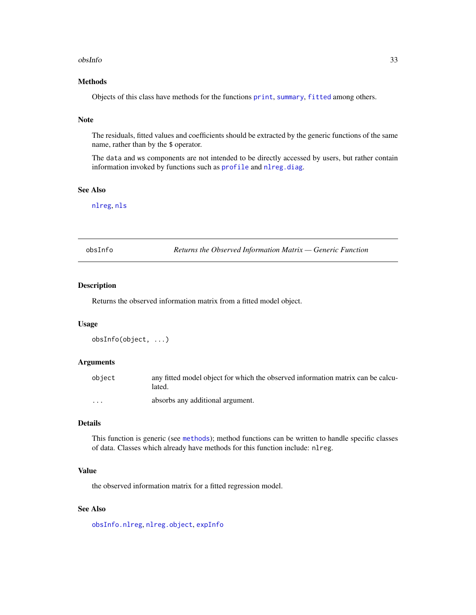#### <span id="page-32-0"></span>obsInfo 33

# Methods

Objects of this class have methods for the functions [print](#page-0-0), [summary](#page-0-0), [fitted](#page-0-0) among others.

# Note

The residuals, fitted values and coefficients should be extracted by the generic functions of the same name, rather than by the \$ operator.

The data and ws components are not intended to be directly accessed by users, but rather contain information invoked by functions such as [profile](#page-0-0) and [nlreg.diag](#page-27-1).

#### See Also

[nlreg](#page-24-1), [nls](#page-0-0)

<span id="page-32-1"></span>

| obsInfo |  |
|---------|--|
|         |  |

Returns the Observed Information Matrix — Generic Function

# Description

Returns the observed information matrix from a fitted model object.

#### Usage

```
obsInfo(object, ...)
```
# Arguments

| object   | any fitted model object for which the observed information matrix can be calcu-<br>lated. |
|----------|-------------------------------------------------------------------------------------------|
| $\cdots$ | absorbs any additional argument.                                                          |

#### Details

This function is generic (see [methods](#page-0-0)); method functions can be written to handle specific classes of data. Classes which already have methods for this function include: nlreg.

#### Value

the observed information matrix for a fitted regression model.

# See Also

[obsInfo.nlreg](#page-33-1), [nlreg.object](#page-30-1), [expInfo](#page-14-1)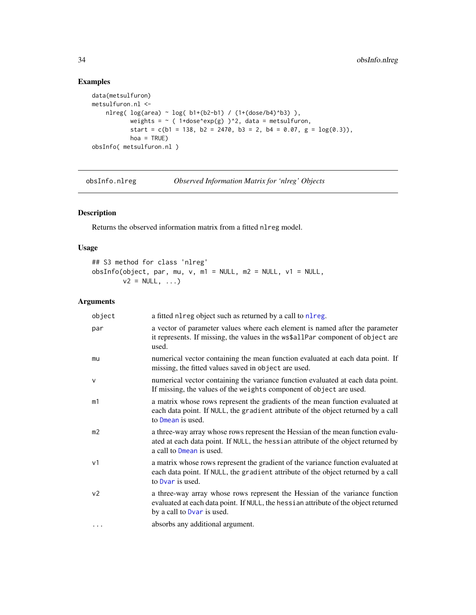# Examples

```
data(metsulfuron)
metsulfuron.nl <-
    nlreg( log(area) ~ log( b1+(b2-b1) / (1+(dose/b4)^b3) ),
           weights = \sim ( 1+dose^exp(g) )^2, data = metsulfuron,
           start = c(b1 = 138, b2 = 2470, b3 = 2, b4 = 0.07, g = log(0.3)),hoa = TRUE)
obsInfo( metsulfuron.nl )
```
<span id="page-33-1"></span>obsInfo.nlreg *Observed Information Matrix for 'nlreg' Objects*

# Description

Returns the observed information matrix from a fitted nlreg model.

# Usage

## S3 method for class 'nlreg' obsInfo(object, par, mu, v, m1 = NULL, m2 = NULL, v1 = NULL,  $v2 = NULL, ...$ 

# Arguments

| object         | a fitted nl reg object such as returned by a call to nl reg.                                                                                                                                     |
|----------------|--------------------------------------------------------------------------------------------------------------------------------------------------------------------------------------------------|
| par            | a vector of parameter values where each element is named after the parameter<br>it represents. If missing, the values in the ws\$allPar component of object are<br>used.                         |
| mu             | numerical vector containing the mean function evaluated at each data point. If<br>missing, the fitted values saved in object are used.                                                           |
| $\mathsf{V}$   | numerical vector containing the variance function evaluated at each data point.<br>If missing, the values of the weights component of object are used.                                           |
| m1             | a matrix whose rows represent the gradients of the mean function evaluated at<br>each data point. If NULL, the gradient attribute of the object returned by a call<br>to Dmean is used.          |
| m <sub>2</sub> | a three-way array whose rows represent the Hessian of the mean function evalu-<br>ated at each data point. If NULL, the hessian attribute of the object returned by<br>a call to Dmean is used.  |
| v <sub>1</sub> | a matrix whose rows represent the gradient of the variance function evaluated at<br>each data point. If NULL, the gradient attribute of the object returned by a call<br>to Dvar is used.        |
| v <sub>2</sub> | a three-way array whose rows represent the Hessian of the variance function<br>evaluated at each data point. If NULL, the hessian attribute of the object returned<br>by a call to Dvar is used. |
| $\cdots$       | absorbs any additional argument.                                                                                                                                                                 |

<span id="page-33-0"></span>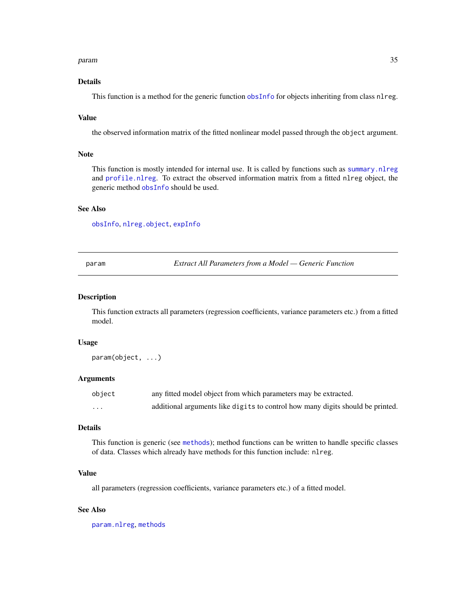#### <span id="page-34-0"></span>param 35

# Details

This function is a method for the generic function [obsInfo](#page-32-1) for objects inheriting from class nlreg.

#### Value

the observed information matrix of the fitted nonlinear model passed through the object argument.

# Note

This function is mostly intended for internal use. It is called by functions such as [summary.nlreg](#page-48-1) and [profile.nlreg](#page-41-1). To extract the observed information matrix from a fitted nlreg object, the generic method [obsInfo](#page-32-1) should be used.

# See Also

[obsInfo](#page-32-1), [nlreg.object](#page-30-1), [expInfo](#page-14-1)

<span id="page-34-1"></span>param *Extract All Parameters from a Model — Generic Function*

#### Description

This function extracts all parameters (regression coefficients, variance parameters etc.) from a fitted model.

# Usage

param(object, ...)

#### Arguments

| object   | any fitted model object from which parameters may be extracted.                |
|----------|--------------------------------------------------------------------------------|
| $\cdots$ | additional arguments like digits to control how many digits should be printed. |

# Details

This function is generic (see [methods](#page-0-0)); method functions can be written to handle specific classes of data. Classes which already have methods for this function include: nlreg.

#### Value

all parameters (regression coefficients, variance parameters etc.) of a fitted model.

# See Also

[param.nlreg](#page-0-0), [methods](#page-0-0)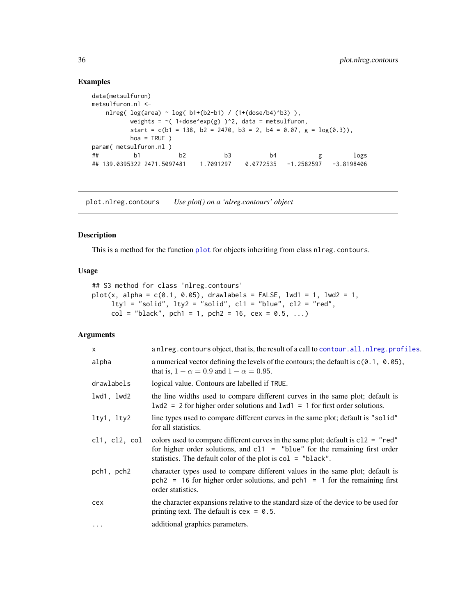#### Examples

```
data(metsulfuron)
metsulfuron.nl <-
   nlreg( log(area) ~ log( b1+(b2-b1) / (1+(dose/b4)^b3) ),
         weights = \sim(1+dose^exp(g))^2, data = metsulfuron,
         start = c(b1 = 138, b2 = 2470, b3 = 2, b4 = 0.07, g = log(0.3)),hoa = TRUE )
param( metsulfuron.nl )
## b1 b2 b3 b4 g logs
## 139.0395322 2471.5097481 1.7091297 0.0772535 -1.2582597 -3.8198406
```
<span id="page-35-1"></span>plot.nlreg.contours *Use plot() on a 'nlreg.contours' object*

# Description

This is a method for the function [plot](#page-0-0) for objects inheriting from class nlreg.contours.

#### Usage

```
## S3 method for class 'nlreg.contours'
plot(x, alpha = c(0.1, 0.05), drawbacks = FALSE, lwd1 = 1, lwd2 = 1,lty1 = "solid", lty2 = "solid", c11 = "blue", c12 = "red",
     col = "black", \text{ pch1} = 1, \text{ pch2} = 16, \text{ cex} = 0.5, ...
```
# Arguments

| $\mathsf{x}$  | anlreg.contours object, that is, the result of a call to contour.all.nlreg.profiles.                                                                                                                                                |
|---------------|-------------------------------------------------------------------------------------------------------------------------------------------------------------------------------------------------------------------------------------|
| alpha         | a numerical vector defining the levels of the contours; the default is $c(0.1, 0.05)$ ,<br>that is, $1 - \alpha = 0.9$ and $1 - \alpha = 0.95$ .                                                                                    |
| drawlabels    | logical value. Contours are labelled if TRUE.                                                                                                                                                                                       |
| lwd1, lwd2    | the line widths used to compare different curves in the same plot; default is<br>$1wd2 = 2$ for higher order solutions and $1wd1 = 1$ for first order solutions.                                                                    |
| lty1, lty2    | line types used to compare different curves in the same plot; default is "solid"<br>for all statistics.                                                                                                                             |
| cl1, cl2, col | colors used to compare different curves in the same plot; default is $c12 = "red"$<br>for higher order solutions, and $c11 =$ "blue" for the remaining first order<br>statistics. The default color of the plot is $col = "black".$ |
| pch1, pch2    | character types used to compare different values in the same plot; default is<br>$pch2 = 16$ for higher order solutions, and $pch1 = 1$ for the remaining first<br>order statistics.                                                |
| cex           | the character expansions relative to the standard size of the device to be used for<br>printing text. The default is $cex = 0.5$ .                                                                                                  |
| $\cdots$      | additional graphics parameters.                                                                                                                                                                                                     |

<span id="page-35-0"></span>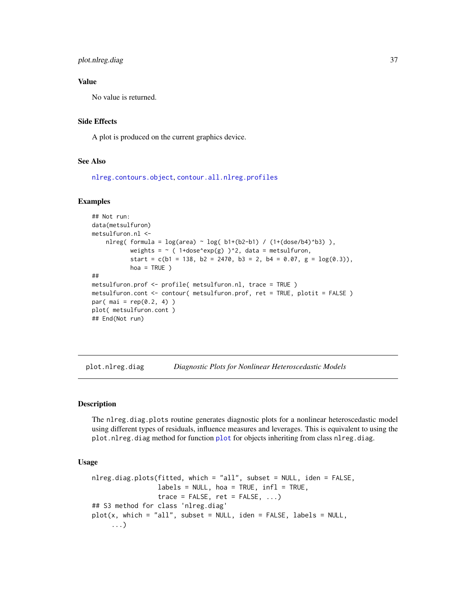# <span id="page-36-0"></span>plot.nlreg.diag 37

# Value

No value is returned.

# Side Effects

A plot is produced on the current graphics device.

#### See Also

[nlreg.contours.object](#page-0-0), [contour.all.nlreg.profiles](#page-5-1)

# Examples

```
## Not run:
data(metsulfuron)
metsulfuron.nl <-
    nlreg( formula = log(area) \sim log( b1+(b2-b1) / (1+(dose/b4)^b3) ),
           weights = \sim ( 1+dose^exp(g) )^2, data = metsulfuron,
           start = c(b1 = 138, b2 = 2470, b3 = 2, b4 = 0.07, g = log(0.3)),hoa = TRUE )
##
metsulfuron.prof <- profile( metsulfuron.nl, trace = TRUE )
metsulfuron.cont <- contour( metsulfuron.prof, ret = TRUE, plotit = FALSE )
par( mai = rep(0.2, 4))
plot( metsulfuron.cont )
## End(Not run)
```
plot.nlreg.diag *Diagnostic Plots for Nonlinear Heteroscedastic Models*

#### <span id="page-36-1"></span>Description

The nlreg.diag.plots routine generates diagnostic plots for a nonlinear heteroscedastic model using different types of residuals, influence measures and leverages. This is equivalent to using the plot.nlreg.diag method for function [plot](#page-0-0) for objects inheriting from class nlreg.diag.

# Usage

```
nlreg.diag.plots(fitted, which = "all", subset = NULL, iden = FALSE,
                labels = NULL, hoa = TRUE, infl = TRUE,trace = FALSE, ret = FALSE, ...)## S3 method for class 'nlreg.diag'
plot(x, which = "all", subset = NULL, iden = FALSE, labels = NULL,...)
```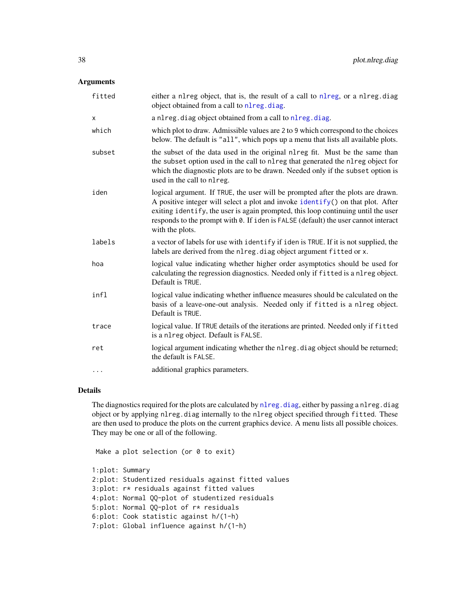# <span id="page-37-0"></span>Arguments

| either a nlreg object, that is, the result of a call to nlreg, or a nlreg.diag<br>object obtained from a call to nlreg.diag.                                                                                                                                                                                                                                     |
|------------------------------------------------------------------------------------------------------------------------------------------------------------------------------------------------------------------------------------------------------------------------------------------------------------------------------------------------------------------|
| a nlreg. diag object obtained from a call to nlreg. diag.                                                                                                                                                                                                                                                                                                        |
| which plot to draw. Admissible values are 2 to 9 which correspond to the choices<br>below. The default is "all", which pops up a menu that lists all available plots.                                                                                                                                                                                            |
| the subset of the data used in the original nl reg fit. Must be the same than<br>the subset option used in the call to nlreg that generated the nlreg object for<br>which the diagnostic plots are to be drawn. Needed only if the subset option is<br>used in the call to nlreg.                                                                                |
| logical argument. If TRUE, the user will be prompted after the plots are drawn.<br>A positive integer will select a plot and invoke identify() on that plot. After<br>exiting identify, the user is again prompted, this loop continuing until the user<br>responds to the prompt with 0. If iden is FALSE (default) the user cannot interact<br>with the plots. |
| a vector of labels for use with identify if iden is TRUE. If it is not supplied, the<br>labels are derived from the nlreg. diag object argument fitted or x.                                                                                                                                                                                                     |
| logical value indicating whether higher order asymptotics should be used for<br>calculating the regression diagnostics. Needed only if fitted is a nlreg object.<br>Default is TRUE.                                                                                                                                                                             |
| logical value indicating whether influence measures should be calculated on the<br>basis of a leave-one-out analysis. Needed only if fitted is a nlreg object.<br>Default is TRUE.                                                                                                                                                                               |
| logical value. If TRUE details of the iterations are printed. Needed only if fitted<br>is a nlreg object. Default is FALSE.                                                                                                                                                                                                                                      |
| logical argument indicating whether the nl reg. diag object should be returned;<br>the default is FALSE.                                                                                                                                                                                                                                                         |
| additional graphics parameters.                                                                                                                                                                                                                                                                                                                                  |
|                                                                                                                                                                                                                                                                                                                                                                  |

# Details

The diagnostics required for the plots are calculated by [nlreg.diag](#page-27-1), either by passing a nlreg.diag object or by applying nlreg.diag internally to the nlreg object specified through fitted. These are then used to produce the plots on the current graphics device. A menu lists all possible choices. They may be one or all of the following.

```
Make a plot selection (or 0 to exit)
1:plot: Summary
2:plot: Studentized residuals against fitted values
3:plot: r* residuals against fitted values
4:plot: Normal QQ-plot of studentized residuals
5:plot: Normal QQ-plot of r* residuals
6:plot: Cook statistic against h/(1-h)
7:plot: Global influence against h/(1-h)
```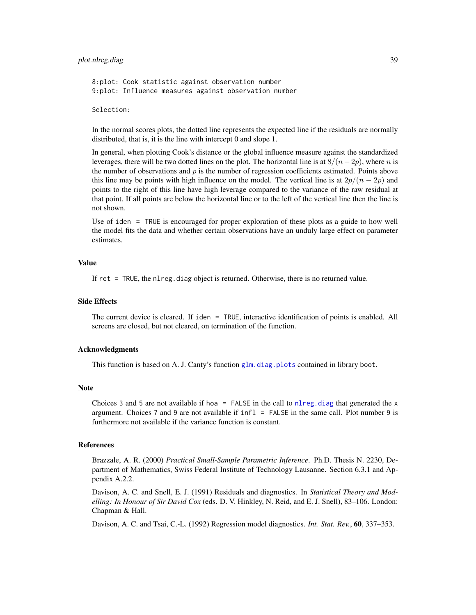# <span id="page-38-0"></span>plot.nlreg.diag 39

8:plot: Cook statistic against observation number 9:plot: Influence measures against observation number

Selection:

In the normal scores plots, the dotted line represents the expected line if the residuals are normally distributed, that is, it is the line with intercept 0 and slope 1.

In general, when plotting Cook's distance or the global influence measure against the standardized leverages, there will be two dotted lines on the plot. The horizontal line is at  $8/(n-2p)$ , where n is the number of observations and  $p$  is the number of regression coefficients estimated. Points above this line may be points with high influence on the model. The vertical line is at  $2p/(n-2p)$  and points to the right of this line have high leverage compared to the variance of the raw residual at that point. If all points are below the horizontal line or to the left of the vertical line then the line is not shown.

Use of iden = TRUE is encouraged for proper exploration of these plots as a guide to how well the model fits the data and whether certain observations have an unduly large effect on parameter estimates.

#### Value

If ret = TRUE, the nlreg.diag object is returned. Otherwise, there is no returned value.

#### Side Effects

The current device is cleared. If iden = TRUE, interactive identification of points is enabled. All screens are closed, but not cleared, on termination of the function.

#### Acknowledgments

This function is based on A. J. Canty's function [glm.diag.plots](#page-0-0) contained in library boot.

#### **Note**

Choices 3 and 5 are not available if hoa = FALSE in the call to [nlreg.diag](#page-27-1) that generated the  $x$ argument. Choices 7 and 9 are not available if infl = FALSE in the same call. Plot number 9 is furthermore not available if the variance function is constant.

#### References

Brazzale, A. R. (2000) *Practical Small-Sample Parametric Inference*. Ph.D. Thesis N. 2230, Department of Mathematics, Swiss Federal Institute of Technology Lausanne. Section 6.3.1 and Appendix A.2.2.

Davison, A. C. and Snell, E. J. (1991) Residuals and diagnostics. In *Statistical Theory and Modelling: In Honour of Sir David Cox* (eds. D. V. Hinkley, N. Reid, and E. J. Snell), 83–106. London: Chapman & Hall.

Davison, A. C. and Tsai, C.-L. (1992) Regression model diagnostics. *Int. Stat. Rev.*, 60, 337–353.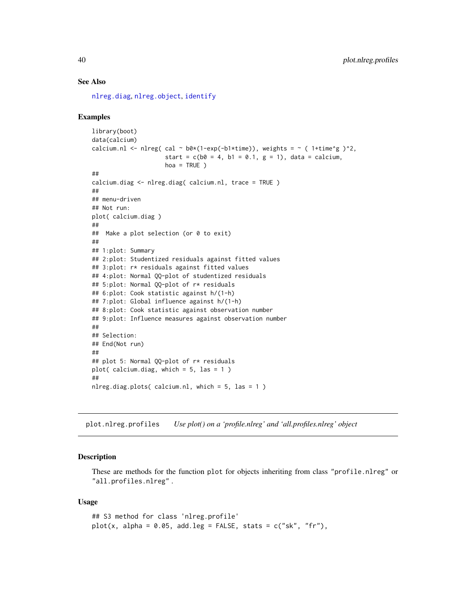#### See Also

[nlreg.diag](#page-27-1), [nlreg.object](#page-30-1), [identify](#page-0-0)

#### Examples

```
library(boot)
data(calcium)
calcium.nl <- nlreg( cal ~ b0*(1-exp(-b1*time)), weights = ~ ( 1+time^g )^2,
                     start = c(b0 = 4, b1 = 0.1, g = 1), data = calcium,
                     hoa = TRUE )
##
calcium.diag <- nlreg.diag( calcium.nl, trace = TRUE )
##
## menu-driven
## Not run:
plot( calcium.diag )
##
## Make a plot selection (or 0 to exit)
##
## 1:plot: Summary
## 2:plot: Studentized residuals against fitted values
## 3:plot: r* residuals against fitted values
## 4:plot: Normal QQ-plot of studentized residuals
## 5:plot: Normal QQ-plot of r* residuals
## 6:plot: Cook statistic against h/(1-h)
## 7:plot: Global influence against h/(1-h)
## 8:plot: Cook statistic against observation number
## 9:plot: Influence measures against observation number
##
## Selection:
## End(Not run)
##
## plot 5: Normal QQ-plot of r* residuals
plot( calcium.diag, which = 5, las = 1 )
##
nlreg.diag.plots( calcium.nl, which = 5, las = 1 )
```
plot.nlreg.profiles *Use plot() on a 'profile.nlreg' and 'all.profiles.nlreg' object*

#### Description

These are methods for the function plot for objects inheriting from class "profile.nlreg" or "all.profiles.nlreg" .

#### Usage

```
## S3 method for class 'nlreg.profile'
plot(x, alpha = 0.05, add.leg = FALSE, stats = c("sk", "fr"),
```
<span id="page-39-0"></span>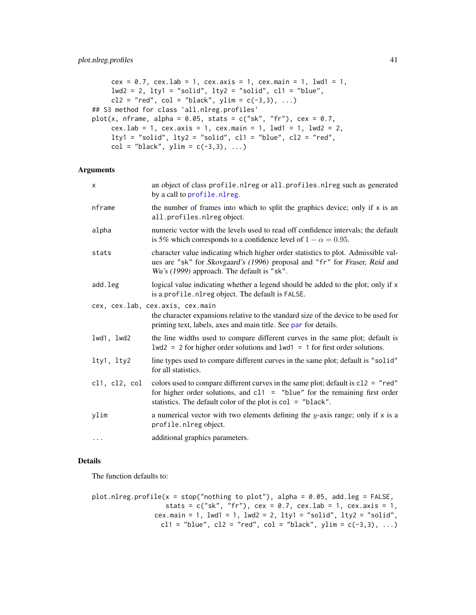```
cex = 0.7, cex.1ab = 1, cex.axis = 1, cex.main = 1, 1wd1 = 1,
    lwd2 = 2, lty1 = "solid", lty2 = "solid", c11 = "blue",c12 = "red", col = "black", ylim = c(-3,3), ...## S3 method for class 'all.nlreg.profiles'
plot(x, nframe, alpha = 0.05, stats = c("sk", "fr"), cex = 0.7,
    cex.lab = 1, cex.axis = 1, cex.main = 1, lwd1 = 1, lwd2 = 2,
    lty1 = "solid", lty2 = "solid", cl1 = "blue", cl2 = "red",
    col = "black", ylim = c(-3,3), ...
```
# Arguments

| x             | an object of class profile.nlreg or all.profiles.nlreg such as generated<br>by a call to profile.nlreg.                                                                                                                             |
|---------------|-------------------------------------------------------------------------------------------------------------------------------------------------------------------------------------------------------------------------------------|
| nframe        | the number of frames into which to split the graphics device; only if $x$ is an<br>all.profiles.nlregobject.                                                                                                                        |
| alpha         | numeric vector with the levels used to read off confidence intervals; the default<br>is 5% which corresponds to a confidence level of $1 - \alpha = 0.95$ .                                                                         |
| stats         | character value indicating which higher order statistics to plot. Admissible val-<br>ues are "sk" for Skovgaard's (1996) proposal and "fr" for Fraser, Reid and<br>Wu's (1999) approach. The default is "sk".                       |
| add.leg       | logical value indicating whether a legend should be added to the plot; only if x<br>is a profile.nlreg object. The default is FALSE.                                                                                                |
|               | cex, cex.lab, cex.axis, cex.main                                                                                                                                                                                                    |
|               | the character expansions relative to the standard size of the device to be used for<br>printing text, labels, axes and main title. See par for details.                                                                             |
| lwd1, lwd2    | the line widths used to compare different curves in the same plot; default is<br>$1wd2 = 2$ for higher order solutions and $1wd1 = 1$ for first order solutions.                                                                    |
| lty1, lty2    | line types used to compare different curves in the same plot; default is "solid"<br>for all statistics.                                                                                                                             |
| cl1, cl2, col | colors used to compare different curves in the same plot; default is $c12 = "red"$<br>for higher order solutions, and $c11 =$ "blue" for the remaining first order<br>statistics. The default color of the plot is $col = "black".$ |
| ylim          | a numerical vector with two elements defining the y-axis range; only if $x$ is a<br>profile.nlreg object.                                                                                                                           |
| $\ddots$      | additional graphics parameters.                                                                                                                                                                                                     |
|               |                                                                                                                                                                                                                                     |

#### Details

The function defaults to:

```
plot.nlreg.profile(x = stop("nothing to plot"), alpha = 0.05, add.leg = FALSE,stats = c("sk", "fr"), cex = 0.7, cex.lab = 1, cex.axis = 1,cex.main = 1, lwd1 = 1, lwd2 = 2, lty1 = "solid", lty2 = "solid",cl1 = "blue", cl2 = "red", col = "black", ylim = c(-3,3), ...)
```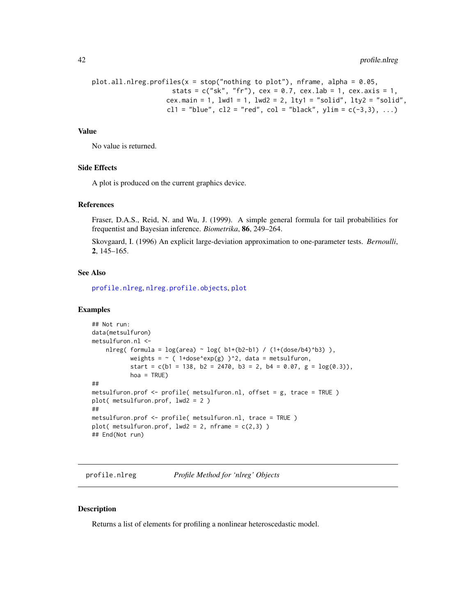```
plot.all.nlreg.profiles(x = stop('nothing to plot"), nframe, alpha = 0.05,
                     stats = c("sk", "fr"), cex = 0.7, cex.lab = 1, cex.axis = 1,cex.main = 1, lwd1 = 1, lwd2 = 2, lty1 = "solid", lty2 = "solid",cl1 = "blue", cl2 = "red", col = "black", ylim = c(-3,3), ...)
```
#### Value

No value is returned.

#### Side Effects

A plot is produced on the current graphics device.

#### References

Fraser, D.A.S., Reid, N. and Wu, J. (1999). A simple general formula for tail probabilities for frequentist and Bayesian inference. *Biometrika*, 86, 249–264.

Skovgaard, I. (1996) An explicit large-deviation approximation to one-parameter tests. *Bernoulli*, 2, 145–165.

# See Also

[profile.nlreg](#page-41-1), [nlreg.profile.objects](#page-0-0), [plot](#page-0-0)

#### Examples

```
## Not run:
data(metsulfuron)
metsulfuron.nl <-
   nlreg( formula = log(area) \sim log( b1+(b2-b1) / (1+(dose/b4)^b3) ),
           weights = \sim ( 1+dose^exp(g) )^2, data = metsulfuron,
           start = c(b1 = 138, b2 = 2470, b3 = 2, b4 = 0.07, g = log(0.3)),hoa = TRUE)
##
metsulfuron.prof <- profile( metsulfuron.nl, offset = g, trace = TRUE )
plot( metsulfuron.prof, lwd2 = 2 )
##
metsulfuron.prof <- profile( metsulfuron.nl, trace = TRUE )
plot( metsulfuron.prof, lwd2 = 2, nframe = c(2,3))
## End(Not run)
```
<span id="page-41-1"></span>profile.nlreg *Profile Method for 'nlreg' Objects*

#### Description

Returns a list of elements for profiling a nonlinear heteroscedastic model.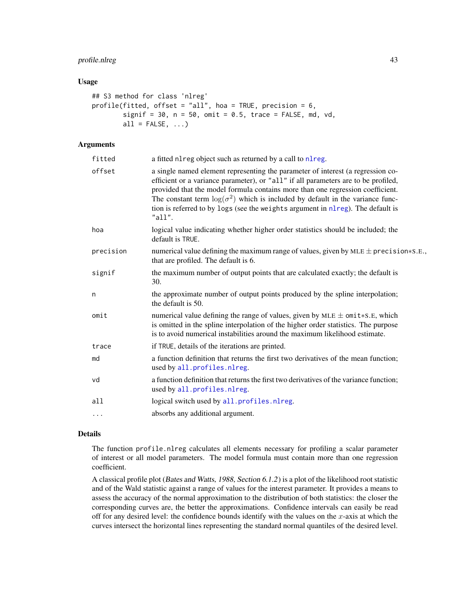# <span id="page-42-0"></span>profile.nlreg 43

#### Usage

```
## S3 method for class 'nlreg'
profile(fitted, offset = "all", hoa = TRUE, precision = 6,
        signif = 30, n = 50, omit = 0.5, trace = FALSE, md, vd,
        all = FALSE, \ldots)
```
# Arguments

| fitted    | a fitted nl reg object such as returned by a call to nl reg.                                                                                                                                                                                                                                                                                                                                                                                  |
|-----------|-----------------------------------------------------------------------------------------------------------------------------------------------------------------------------------------------------------------------------------------------------------------------------------------------------------------------------------------------------------------------------------------------------------------------------------------------|
| offset    | a single named element representing the parameter of interest (a regression co-<br>efficient or a variance parameter), or "all" if all parameters are to be profiled,<br>provided that the model formula contains more than one regression coefficient.<br>The constant term $\log(\sigma^2)$ which is included by default in the variance func-<br>tion is referred to by logs (see the weights argument in nlreg). The default is<br>"all". |
| hoa       | logical value indicating whether higher order statistics should be included; the<br>default is TRUE.                                                                                                                                                                                                                                                                                                                                          |
| precision | numerical value defining the maximum range of values, given by $MLE \pm \text{precision}*S.E.,$<br>that are profiled. The default is 6.                                                                                                                                                                                                                                                                                                       |
| signif    | the maximum number of output points that are calculated exactly; the default is<br>30.                                                                                                                                                                                                                                                                                                                                                        |
| n         | the approximate number of output points produced by the spline interpolation;<br>the default is 50.                                                                                                                                                                                                                                                                                                                                           |
| omit      | numerical value defining the range of values, given by $MLE \pm omit*S.E$ , which<br>is omitted in the spline interpolation of the higher order statistics. The purpose<br>is to avoid numerical instabilities around the maximum likelihood estimate.                                                                                                                                                                                        |
| trace     | if TRUE, details of the iterations are printed.                                                                                                                                                                                                                                                                                                                                                                                               |
| md        | a function definition that returns the first two derivatives of the mean function;<br>used by all.profiles.nlreg.                                                                                                                                                                                                                                                                                                                             |
| vd        | a function definition that returns the first two derivatives of the variance function;<br>used by all.profiles.nlreg.                                                                                                                                                                                                                                                                                                                         |
| all       | logical switch used by all.profiles.nlreg.                                                                                                                                                                                                                                                                                                                                                                                                    |
| $\cdots$  | absorbs any additional argument.                                                                                                                                                                                                                                                                                                                                                                                                              |

#### Details

The function profile.nlreg calculates all elements necessary for profiling a scalar parameter of interest or all model parameters. The model formula must contain more than one regression coefficient.

A classical profile plot (Bates and Watts, 1988, Section 6.1.2) is a plot of the likelihood root statistic and of the Wald statistic against a range of values for the interest parameter. It provides a means to assess the accuracy of the normal approximation to the distribution of both statistics: the closer the corresponding curves are, the better the approximations. Confidence intervals can easily be read off for any desired level: the confidence bounds identify with the values on the  $x$ -axis at which the curves intersect the horizontal lines representing the standard normal quantiles of the desired level.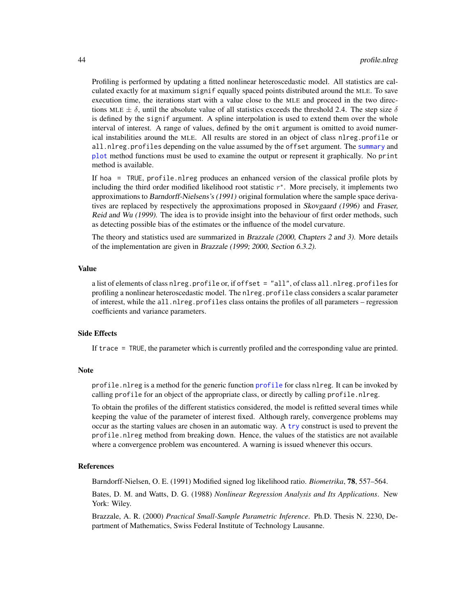<span id="page-43-0"></span>Profiling is performed by updating a fitted nonlinear heteroscedastic model. All statistics are calculated exactly for at maximum signif equally spaced points distributed around the MLE. To save execution time, the iterations start with a value close to the MLE and proceed in the two directions MLE  $\pm \delta$ , until the absolute value of all statistics exceeds the threshold 2.4. The step size  $\delta$ is defined by the signif argument. A spline interpolation is used to extend them over the whole interval of interest. A range of values, defined by the omit argument is omitted to avoid numerical instabilities around the MLE. All results are stored in an object of class nlreg.profile or all.nlreg.profiles depending on the value assumed by the offset argument. The [summary](#page-0-0) and [plot](#page-0-0) method functions must be used to examine the output or represent it graphically. No print method is available.

If hoa = TRUE, profile.nlreg produces an enhanced version of the classical profile plots by including the third order modified likelihood root statistic  $r^*$ . More precisely, it implements two approximations to Barndorff-Nielsens's (1991) original formulation where the sample space derivatives are replaced by respectively the approximations proposed in Skovgaard (1996) and Fraser, Reid and Wu (1999). The idea is to provide insight into the behaviour of first order methods, such as detecting possible bias of the estimates or the influence of the model curvature.

The theory and statistics used are summarized in Brazzale (2000, Chapters 2 and 3). More details of the implementation are given in Brazzale (1999; 2000, Section 6.3.2).

#### Value

a list of elements of class nlreg.profile or, if offset = "all", of class all.nlreg.profiles for profiling a nonlinear heteroscedastic model. The nlreg.profile class considers a scalar parameter of interest, while the all.nlreg.profiles class ontains the profiles of all parameters – regression coefficients and variance parameters.

# Side Effects

If trace = TRUE, the parameter which is currently profiled and the corresponding value are printed.

#### **Note**

profile.nlreg is a method for the generic function [profile](#page-0-0) for class nlreg. It can be invoked by calling profile for an object of the appropriate class, or directly by calling profile.nlreg.

To obtain the profiles of the different statistics considered, the model is refitted several times while keeping the value of the parameter of interest fixed. Although rarely, convergence problems may occur as the starting values are chosen in an automatic way. A [try](#page-0-0) construct is used to prevent the profile.nlreg method from breaking down. Hence, the values of the statistics are not available where a convergence problem was encountered. A warning is issued whenever this occurs.

#### References

Barndorff-Nielsen, O. E. (1991) Modified signed log likelihood ratio. *Biometrika*, 78, 557–564.

Bates, D. M. and Watts, D. G. (1988) *Nonlinear Regression Analysis and Its Applications*. New York: Wiley.

Brazzale, A. R. (2000) *Practical Small-Sample Parametric Inference*. Ph.D. Thesis N. 2230, Department of Mathematics, Swiss Federal Institute of Technology Lausanne.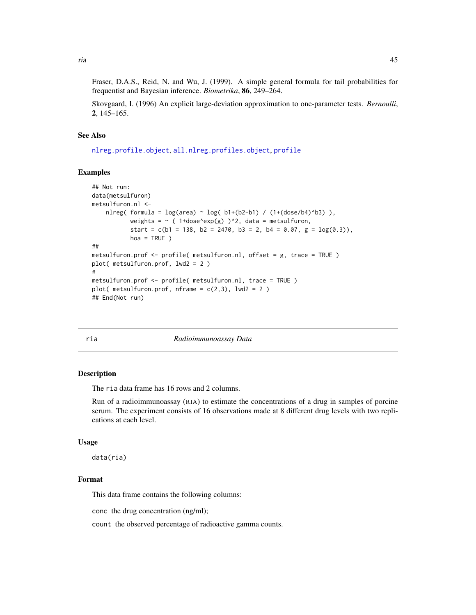<span id="page-44-0"></span>Fraser, D.A.S., Reid, N. and Wu, J. (1999). A simple general formula for tail probabilities for frequentist and Bayesian inference. *Biometrika*, 86, 249–264.

Skovgaard, I. (1996) An explicit large-deviation approximation to one-parameter tests. *Bernoulli*, 2, 145–165.

#### See Also

[nlreg.profile.object](#page-0-0), [all.nlreg.profiles.object](#page-0-0), [profile](#page-0-0)

#### Examples

```
## Not run:
data(metsulfuron)
metsulfuron.nl <-
    nlreg( formula = log(area) \sim log( b1+(b2-b1) / (1+(dose/b4)^b3) ),
           weights = \sim ( 1+dose^exp(g) )^2, data = metsulfuron,
           start = c(b1 = 138, b2 = 2470, b3 = 2, b4 = 0.07, g = log(0.3)),hoa = TRUE )
##
metsulfuron.prof <- profile( metsulfuron.nl, offset = g, trace = TRUE )
plot( metsulfuron.prof, lwd2 = 2 )
#
metsulfuron.prof <- profile( metsulfuron.nl, trace = TRUE )
plot( metsulfuron.prof, nframe = c(2,3), lwd2 = 2 )
## End(Not run)
```
ria *Radioimmunoassay Data*

#### Description

The ria data frame has 16 rows and 2 columns.

Run of a radioimmunoassay (RIA) to estimate the concentrations of a drug in samples of porcine serum. The experiment consists of 16 observations made at 8 different drug levels with two replications at each level.

#### Usage

data(ria)

#### Format

This data frame contains the following columns:

conc the drug concentration (ng/ml);

count the observed percentage of radioactive gamma counts.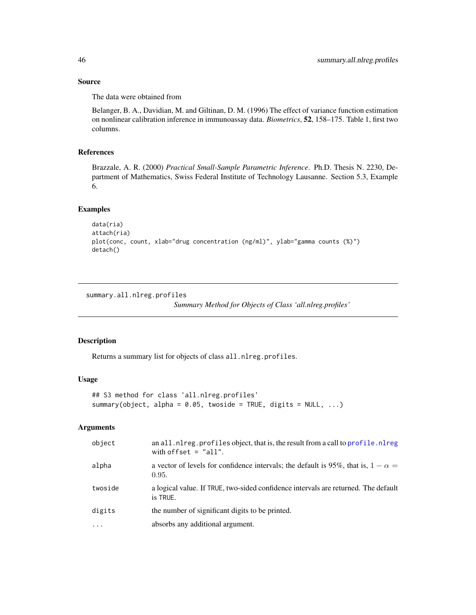#### Source

The data were obtained from

Belanger, B. A., Davidian, M. and Giltinan, D. M. (1996) The effect of variance function estimation on nonlinear calibration inference in immunoassay data. *Biometrics*, 52, 158–175. Table 1, first two columns.

# References

Brazzale, A. R. (2000) *Practical Small-Sample Parametric Inference*. Ph.D. Thesis N. 2230, Department of Mathematics, Swiss Federal Institute of Technology Lausanne. Section 5.3, Example 6.

# Examples

```
data(ria)
attach(ria)
plot(conc, count, xlab="drug concentration (ng/ml)", ylab="gamma counts (%)")
detach()
```
summary.all.nlreg.profiles

*Summary Method for Objects of Class 'all.nlreg.profiles'*

# Description

Returns a summary list for objects of class all.nlreg.profiles.

# Usage

```
## S3 method for class 'all.nlreg.profiles'
summary(object, alpha = 0.05, twoside = TRUE, digits = NULL, ...)
```
# Arguments

| object   | an all.nlreg.profiles object, that is, the result from a call to profile.nlreg<br>with offset $=$ "all". |
|----------|----------------------------------------------------------------------------------------------------------|
| alpha    | a vector of levels for confidence intervals; the default is 95%, that is, $1 - \alpha =$<br>0.95.        |
| twoside  | a logical value. If TRUE, two-sided confidence intervals are returned. The default<br>is TRUE.           |
| digits   | the number of significant digits to be printed.                                                          |
| $\ddots$ | absorbs any additional argument.                                                                         |

<span id="page-45-0"></span>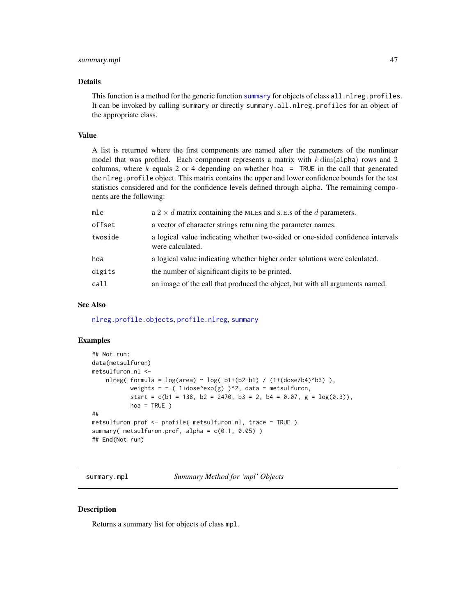# <span id="page-46-0"></span>summary.mpl 47

#### Details

This function is a method for the generic function [summary](#page-0-0) for objects of class all.nlreg.profiles. It can be invoked by calling summary or directly summary.all.nlreg.profiles for an object of the appropriate class.

#### Value

A list is returned where the first components are named after the parameters of the nonlinear model that was profiled. Each component represents a matrix with  $k \dim(\text{alpha})$  rows and 2 columns, where  $k$  equals 2 or 4 depending on whether hoa = TRUE in the call that generated the nlreg.profile object. This matrix contains the upper and lower confidence bounds for the test statistics considered and for the confidence levels defined through alpha. The remaining components are the following:

| mle     | a 2 $\times$ d matrix containing the MLEs and S.E.s of the d parameters.                           |
|---------|----------------------------------------------------------------------------------------------------|
| offset  | a vector of character strings returning the parameter names.                                       |
| twoside | a logical value indicating whether two-sided or one-sided confidence intervals<br>were calculated. |
| hoa     | a logical value indicating whether higher order solutions were calculated.                         |
| digits  | the number of significant digits to be printed.                                                    |
| call    | an image of the call that produced the object, but with all arguments named.                       |

#### See Also

[nlreg.profile.objects](#page-0-0), [profile.nlreg](#page-41-1), [summary](#page-0-0)

#### Examples

```
## Not run:
data(metsulfuron)
metsulfuron.nl <-
    nlreg( formula = log(area) \sim log( b1+(b2-b1) / (1+(dose/b4)^b3) ),
           weights = \sim ( 1+dose^exp(g) )^2, data = metsulfuron,
           start = c(b1 = 138, b2 = 2470, b3 = 2, b4 = 0.07, g = log(0.3)),hoa = TRUE )
##
metsulfuron.prof <- profile( metsulfuron.nl, trace = TRUE )
summary( metsulfuron.prof, alpha = c(0.1, 0.05))
## End(Not run)
```
summary.mpl *Summary Method for 'mpl' Objects*

#### **Description**

Returns a summary list for objects of class mpl.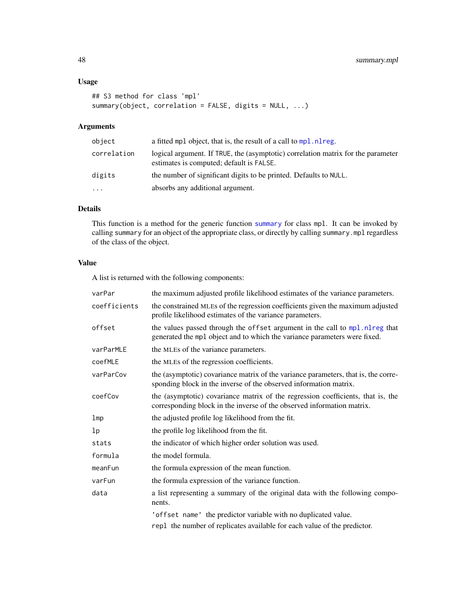# Usage

```
## S3 method for class 'mpl'
summary(object, correlation = FALSE, digits = NULL, ...)
```
# Arguments

| logical argument. If TRUE, the (asymptotic) correlation matrix for the parameter<br>correlation<br>estimates is computed; default is FALSE.<br>the number of significant digits to be printed. Defaults to NULL.<br>digits | object | a fitted mpl object, that is, the result of a call to mpl. nl reg. |
|----------------------------------------------------------------------------------------------------------------------------------------------------------------------------------------------------------------------------|--------|--------------------------------------------------------------------|
|                                                                                                                                                                                                                            |        |                                                                    |
|                                                                                                                                                                                                                            |        |                                                                    |
| absorbs any additional argument.<br>.                                                                                                                                                                                      |        |                                                                    |

# Details

This function is a method for the generic function [summary](#page-0-0) for class mpl. It can be invoked by calling summary for an object of the appropriate class, or directly by calling summary.mpl regardless of the class of the object.

#### Value

A list is returned with the following components:

| varPar          | the maximum adjusted profile likelihood estimates of the variance parameters.                                                                             |
|-----------------|-----------------------------------------------------------------------------------------------------------------------------------------------------------|
| coefficients    | the constrained MLEs of the regression coefficients given the maximum adjusted<br>profile likelihood estimates of the variance parameters.                |
| offset          | the values passed through the offset argument in the call to mpl.nlreg that<br>generated the mpl object and to which the variance parameters were fixed.  |
| varParMLE       | the MLEs of the variance parameters.                                                                                                                      |
| coefMLE         | the MLEs of the regression coefficients.                                                                                                                  |
| varParCov       | the (asymptotic) covariance matrix of the variance parameters, that is, the corre-<br>sponding block in the inverse of the observed information matrix.   |
| coefCov         | the (asymptotic) covariance matrix of the regression coefficients, that is, the<br>corresponding block in the inverse of the observed information matrix. |
| 1 <sub>mp</sub> | the adjusted profile log likelihood from the fit.                                                                                                         |
| lp              | the profile log likelihood from the fit.                                                                                                                  |
| stats           | the indicator of which higher order solution was used.                                                                                                    |
| formula         | the model formula.                                                                                                                                        |
| meanFun         | the formula expression of the mean function.                                                                                                              |
| varFun          | the formula expression of the variance function.                                                                                                          |
| data            | a list representing a summary of the original data with the following compo-<br>nents.                                                                    |
|                 | 'offset name' the predictor variable with no duplicated value.                                                                                            |
|                 | rep1 the number of replicates available for each value of the predictor.                                                                                  |

<span id="page-47-0"></span>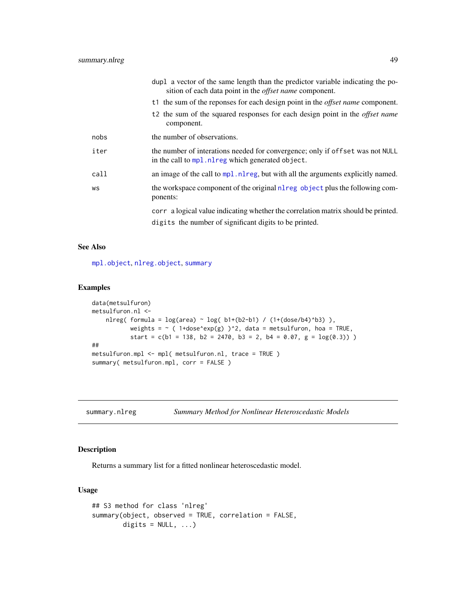<span id="page-48-0"></span>

|      | dupl a vector of the same length than the predictor variable indicating the po-<br>sition of each data point in the <i>offset name</i> component. |
|------|---------------------------------------------------------------------------------------------------------------------------------------------------|
|      | t1 the sum of the reponses for each design point in the <i>offset name</i> component.                                                             |
|      | t <sub>2</sub> the sum of the squared responses for each design point in the <i>offset name</i><br>component.                                     |
| nobs | the number of observations.                                                                                                                       |
| iter | the number of interations needed for convergence; only if offset was not NULL<br>in the call to mpl. nlreg which generated object.                |
| call | an image of the call to mpl. nl reg, but with all the arguments explicitly named.                                                                 |
| WS   | the workspace component of the original nl reg object plus the following com-<br>ponents:                                                         |
|      | corr a logical value indicating whether the correlation matrix should be printed.<br>digits the number of significant digits to be printed.       |

# See Also

[mpl.object](#page-22-1), [nlreg.object](#page-30-1), [summary](#page-0-0)

# Examples

```
data(metsulfuron)
metsulfuron.nl <-
   nlreg( formula = log(area) \sim log( b1+(b2-b1) / (1+(dose/b4)^b3) ),
           weights = \sim ( 1+dose^exp(g) )^2, data = metsulfuron, hoa = TRUE,
           start = c(b1 = 138, b2 = 2470, b3 = 2, b4 = 0.07, g = log(0.3))##
metsulfuron.mpl <- mpl( metsulfuron.nl, trace = TRUE )
summary( metsulfuron.mpl, corr = FALSE )
```
<span id="page-48-1"></span>summary.nlreg *Summary Method for Nonlinear Heteroscedastic Models*

# Description

Returns a summary list for a fitted nonlinear heteroscedastic model.

#### Usage

```
## S3 method for class 'nlreg'
summary(object, observed = TRUE, correlation = FALSE,
       digits = NULL, ...)
```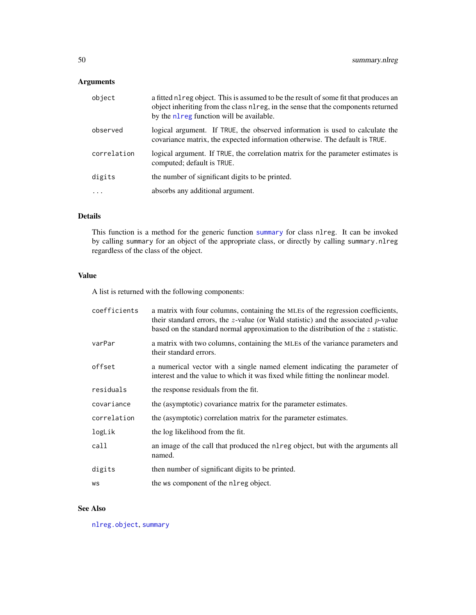# <span id="page-49-0"></span>Arguments

| object      | a fitted nl reg object. This is assumed to be the result of some fit that produces an<br>object inheriting from the class nl reg, in the sense that the components returned<br>by the nl reg function will be available. |
|-------------|--------------------------------------------------------------------------------------------------------------------------------------------------------------------------------------------------------------------------|
| observed    | logical argument. If TRUE, the observed information is used to calculate the<br>covariance matrix, the expected information otherwise. The default is TRUE.                                                              |
| correlation | logical argument. If TRUE, the correlation matrix for the parameter estimates is<br>computed; default is TRUE.                                                                                                           |
| digits      | the number of significant digits to be printed.                                                                                                                                                                          |
|             | absorbs any additional argument.                                                                                                                                                                                         |
|             |                                                                                                                                                                                                                          |

# Details

This function is a method for the generic function [summary](#page-0-0) for class nlreg. It can be invoked by calling summary for an object of the appropriate class, or directly by calling summary.nlreg regardless of the class of the object.

# Value

A list is returned with the following components:

| coefficients | a matrix with four columns, containing the MLEs of the regression coefficients,<br>their standard errors, the $z$ -value (or Wald statistic) and the associated $p$ -value<br>based on the standard normal approximation to the distribution of the $z$ statistic. |
|--------------|--------------------------------------------------------------------------------------------------------------------------------------------------------------------------------------------------------------------------------------------------------------------|
| varPar       | a matrix with two columns, containing the MLEs of the variance parameters and<br>their standard errors.                                                                                                                                                            |
| offset       | a numerical vector with a single named element indicating the parameter of<br>interest and the value to which it was fixed while fitting the nonlinear model.                                                                                                      |
| residuals    | the response residuals from the fit.                                                                                                                                                                                                                               |
| covariance   | the (asymptotic) covariance matrix for the parameter estimates.                                                                                                                                                                                                    |
| correlation  | the (asymptotic) correlation matrix for the parameter estimates.                                                                                                                                                                                                   |
| logLik       | the log likelihood from the fit.                                                                                                                                                                                                                                   |
| call         | an image of the call that produced the nearely object, but with the arguments all<br>named.                                                                                                                                                                        |
| digits       | then number of significant digits to be printed.                                                                                                                                                                                                                   |
| WS           | the ws component of the nl reg object.                                                                                                                                                                                                                             |

# See Also

[nlreg.object](#page-30-1), [summary](#page-0-0)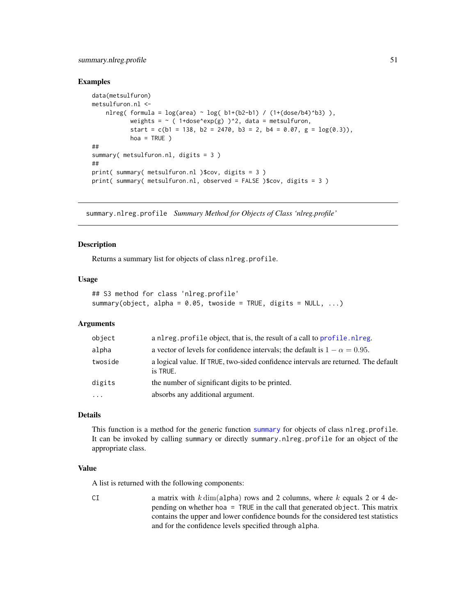# <span id="page-50-0"></span>summary.nlreg.profile 51

#### Examples

```
data(metsulfuron)
metsulfuron.nl <-
    nlreg( formula = log(area) \sim log( b1+(b2-b1) / (1+(dose/b4)^b3) ),
           weights = \sim ( 1+dose^exp(g) )^2, data = metsulfuron,
           start = c(b1 = 138, b2 = 2470, b3 = 2, b4 = 0.07, g = log(0.3)),hoa = TRUE )
##
summary( metsulfuron.nl, digits = 3)
##
print( summary( metsulfuron.nl )$cov, digits = 3 )
print( summary( metsulfuron.nl, observed = FALSE )$cov, digits = 3 )
```
summary.nlreg.profile *Summary Method for Objects of Class 'nlreg.profile'*

#### **Description**

Returns a summary list for objects of class nlreg.profile.

#### Usage

```
## S3 method for class 'nlreg.profile'
summary(object, alpha = 0.05, twoside = TRUE, digits = NULL, ...)
```
#### Arguments

| object   | a nl reg. profile object, that is, the result of a call to profile. nl reg.                    |
|----------|------------------------------------------------------------------------------------------------|
| alpha    | a vector of levels for confidence intervals; the default is $1 - \alpha = 0.95$ .              |
| twoside  | a logical value. If TRUE, two-sided confidence intervals are returned. The default<br>is TRUE. |
| digits   | the number of significant digits to be printed.                                                |
| $\ddots$ | absorbs any additional argument.                                                               |

# Details

This function is a method for the generic function [summary](#page-0-0) for objects of class nlreg.profile. It can be invoked by calling summary or directly summary.nlreg.profile for an object of the appropriate class.

#### Value

A list is returned with the following components:

CI a matrix with  $k \dim(\text{alpha})$  rows and 2 columns, where k equals 2 or 4 depending on whether hoa = TRUE in the call that generated object. This matrix contains the upper and lower confidence bounds for the considered test statistics and for the confidence levels specified through alpha.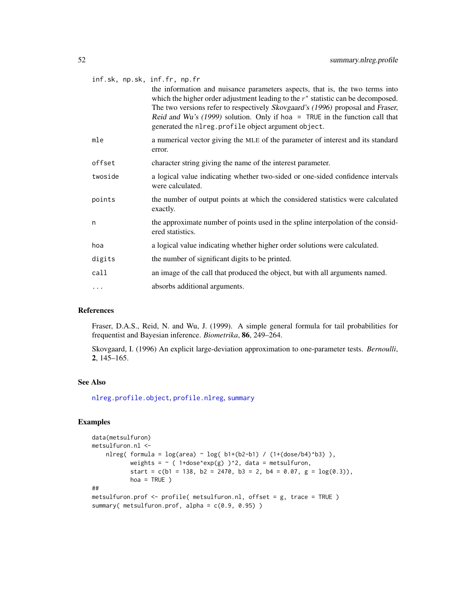<span id="page-51-0"></span>

| inf.sk, np.sk, inf.fr, np.fr |                                                                                                                                                                                                                      |
|------------------------------|----------------------------------------------------------------------------------------------------------------------------------------------------------------------------------------------------------------------|
|                              | the information and nuisance parameters aspects, that is, the two terms into<br>which the higher order adjustment leading to the $r^*$ statistic can be decomposed.                                                  |
|                              | The two versions refer to respectively Skovgaard's (1996) proposal and Fraser,<br>Reid and Wu's (1999) solution. Only if hoa = TRUE in the function call that<br>generated the nlreg.profile object argument object. |
| mle                          | a numerical vector giving the MLE of the parameter of interest and its standard<br>error.                                                                                                                            |
| offset                       | character string giving the name of the interest parameter.                                                                                                                                                          |
| twoside                      | a logical value indicating whether two-sided or one-sided confidence intervals<br>were calculated.                                                                                                                   |
| points                       | the number of output points at which the considered statistics were calculated<br>exactly.                                                                                                                           |
| n                            | the approximate number of points used in the spline interpolation of the consid-<br>ered statistics.                                                                                                                 |
| hoa                          | a logical value indicating whether higher order solutions were calculated.                                                                                                                                           |
| digits                       | the number of significant digits to be printed.                                                                                                                                                                      |
| call                         | an image of the call that produced the object, but with all arguments named.                                                                                                                                         |
| .                            | absorbs additional arguments.                                                                                                                                                                                        |

# References

Fraser, D.A.S., Reid, N. and Wu, J. (1999). A simple general formula for tail probabilities for frequentist and Bayesian inference. *Biometrika*, 86, 249–264.

Skovgaard, I. (1996) An explicit large-deviation approximation to one-parameter tests. *Bernoulli*, 2, 145–165.

# See Also

[nlreg.profile.object](#page-0-0), [profile.nlreg](#page-41-1), [summary](#page-0-0)

# Examples

```
data(metsulfuron)
metsulfuron.nl <-
    nlreg( formula = log(area) \sim log( b1+(b2-b1) / (1+(dose/b4)^b3) ),
           weights = \sim ( 1+dose^exp(g) )^2, data = metsulfuron,
           start = c(b1 = 138, b2 = 2470, b3 = 2, b4 = 0.07, g = log(0.3)),hoa = TRUE )
##
metsulfuron.prof <- profile( metsulfuron.nl, offset = g, trace = TRUE )
summary( metsulfuron.prof, alpha = c(0.9, 0.95) )
```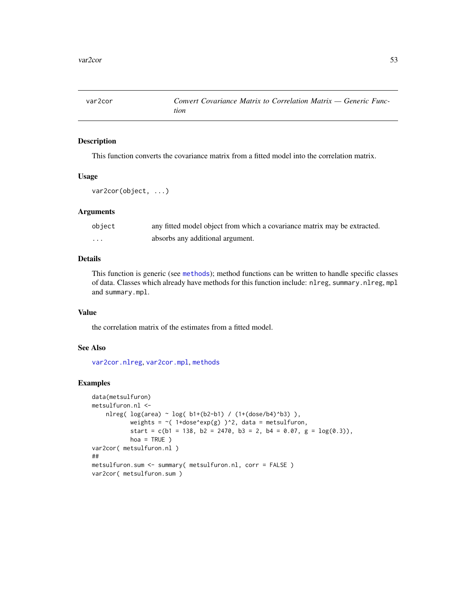<span id="page-52-0"></span>

# Description

This function converts the covariance matrix from a fitted model into the correlation matrix.

#### Usage

```
var2cor(object, ...)
```
# Arguments

| object   | any fitted model object from which a covariance matrix may be extracted. |
|----------|--------------------------------------------------------------------------|
| $\cdots$ | absorbs any additional argument.                                         |

# Details

This function is generic (see [methods](#page-0-0)); method functions can be written to handle specific classes of data. Classes which already have methods for this function include: nlreg, summary.nlreg, mpl and summary.mpl.

# Value

the correlation matrix of the estimates from a fitted model.

#### See Also

[var2cor.nlreg](#page-0-0), [var2cor.mpl](#page-0-0), [methods](#page-0-0)

#### Examples

```
data(metsulfuron)
metsulfuron.nl <-
    nlreg( log(area) ~ log( b1+(b2-b1) / (1+(dose/b4)^b3) ),
           weights = \sim(1+dose^exp(g))^2, data = metsulfuron,
           start = c(b1 = 138, b2 = 2470, b3 = 2, b4 = 0.07, g = log(0.3)),hoa = TRUE )
var2cor( metsulfuron.nl )
##
metsulfuron.sum <- summary( metsulfuron.nl, corr = FALSE )
var2cor( metsulfuron.sum )
```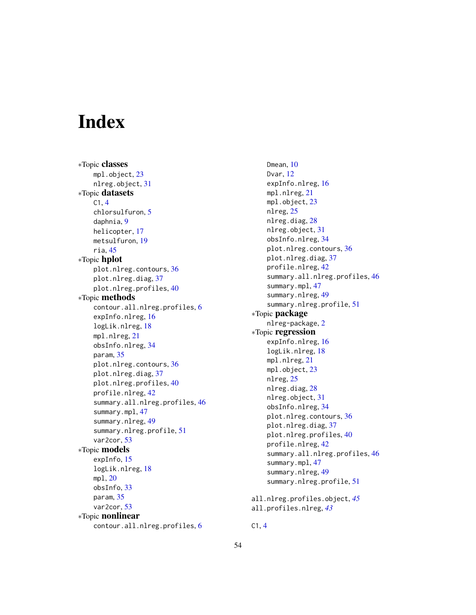# <span id="page-53-0"></span>**Index**

∗Topic classes mpl.object, [23](#page-22-0) nlreg.object, [31](#page-30-0) ∗Topic datasets C1, [4](#page-3-0) chlorsulfuron, [5](#page-4-0) daphnia, [9](#page-8-0) helicopter, [17](#page-16-0) metsulfuron, [19](#page-18-0) ria, [45](#page-44-0) ∗Topic hplot plot.nlreg.contours, [36](#page-35-0) plot.nlreg.diag, [37](#page-36-0) plot.nlreg.profiles, [40](#page-39-0) ∗Topic methods contour.all.nlreg.profiles, [6](#page-5-0) expInfo.nlreg, [16](#page-15-0) logLik.nlreg, [18](#page-17-0) mpl.nlreg, [21](#page-20-0) obsInfo.nlreg, [34](#page-33-0) param, [35](#page-34-0) plot.nlreg.contours, [36](#page-35-0) plot.nlreg.diag, [37](#page-36-0) plot.nlreg.profiles, [40](#page-39-0) profile.nlreg, [42](#page-41-0) summary.all.nlreg.profiles, [46](#page-45-0) summary.mpl, [47](#page-46-0) summary.nlreg, [49](#page-48-0) summary.nlreg.profile, [51](#page-50-0) var2cor, [53](#page-52-0) ∗Topic models expInfo, [15](#page-14-0) logLik.nlreg, [18](#page-17-0) mpl, [20](#page-19-0) obsInfo, [33](#page-32-0) param, [35](#page-34-0) var2cor, [53](#page-52-0) ∗Topic nonlinear contour.all.nlreg.profiles, [6](#page-5-0)

Dmean, [10](#page-9-0) Dvar, [12](#page-11-0) expInfo.nlreg, [16](#page-15-0) mpl.nlreg, [21](#page-20-0) mpl.object, [23](#page-22-0) nlreg, [25](#page-24-0) nlreg.diag, [28](#page-27-0) nlreg.object, [31](#page-30-0) obsInfo.nlreg, [34](#page-33-0) plot.nlreg.contours, [36](#page-35-0) plot.nlreg.diag, [37](#page-36-0) profile.nlreg, [42](#page-41-0) summary.all.nlreg.profiles, [46](#page-45-0) summary.mpl, [47](#page-46-0) summary.nlreg, [49](#page-48-0) summary.nlreg.profile, [51](#page-50-0) ∗Topic package nlreg-package, [2](#page-1-0) ∗Topic regression expInfo.nlreg, [16](#page-15-0) logLik.nlreg, [18](#page-17-0) mpl.nlreg, [21](#page-20-0) mpl.object, [23](#page-22-0) nlreg, [25](#page-24-0) nlreg.diag, [28](#page-27-0) nlreg.object, [31](#page-30-0) obsInfo.nlreg, [34](#page-33-0) plot.nlreg.contours, [36](#page-35-0) plot.nlreg.diag, [37](#page-36-0) plot.nlreg.profiles, [40](#page-39-0) profile.nlreg, [42](#page-41-0) summary.all.nlreg.profiles, [46](#page-45-0) summary.mpl, [47](#page-46-0) summary.nlreg, [49](#page-48-0) summary.nlreg.profile, [51](#page-50-0) all.nlreg.profiles.object, *[45](#page-44-0)* all.profiles.nlreg, *[43](#page-42-0)*

C1, [4](#page-3-0)